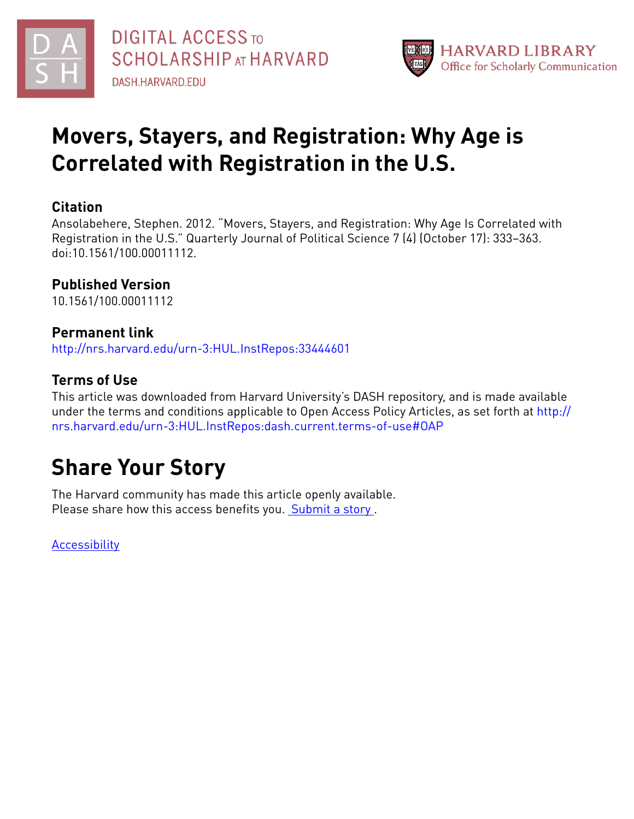



# **Movers, Stayers, and Registration: Why Age is Correlated with Registration in the U.S.**

## **Citation**

Ansolabehere, Stephen. 2012. "Movers, Stayers, and Registration: Why Age Is Correlated with Registration in the U.S." Quarterly Journal of Political Science 7 (4) (October 17): 333–363. doi:10.1561/100.00011112.

## **Published Version**

10.1561/100.00011112

## **Permanent link**

<http://nrs.harvard.edu/urn-3:HUL.InstRepos:33444601>

## **Terms of Use**

This article was downloaded from Harvard University's DASH repository, and is made available under the terms and conditions applicable to Open Access Policy Articles, as set forth at [http://](http://nrs.harvard.edu/urn-3:HUL.InstRepos:dash.current.terms-of-use#OAP) [nrs.harvard.edu/urn-3:HUL.InstRepos:dash.current.terms-of-use#OAP](http://nrs.harvard.edu/urn-3:HUL.InstRepos:dash.current.terms-of-use#OAP)

# **Share Your Story**

The Harvard community has made this article openly available. Please share how this access benefits you. [Submit](http://osc.hul.harvard.edu/dash/open-access-feedback?handle=&title=Movers,%20Stayers,%20and%20Registration:%20Why%20Age%20is%20Correlated%20with%20Registration%20in%20the%20U.S.&community=1/1&collection=1/2&owningCollection1/2&harvardAuthors=a897c61add020a610ffc9118778bed47&departmentGovernment) a story .

**[Accessibility](https://dash.harvard.edu/pages/accessibility)**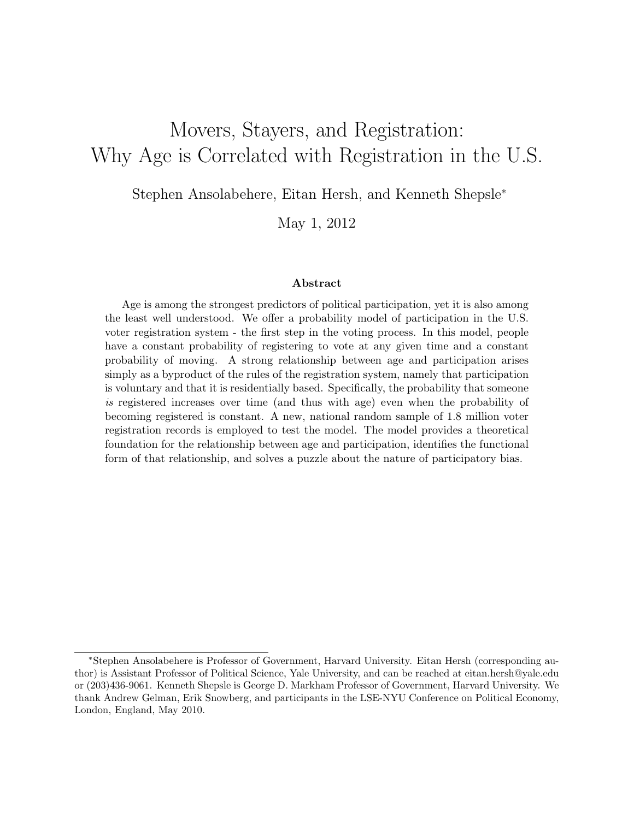## Movers, Stayers, and Registration: Why Age is Correlated with Registration in the U.S.

Stephen Ansolabehere, Eitan Hersh, and Kenneth Shepsle<sup>∗</sup>

May 1, 2012

#### Abstract

Age is among the strongest predictors of political participation, yet it is also among the least well understood. We offer a probability model of participation in the U.S. voter registration system - the first step in the voting process. In this model, people have a constant probability of registering to vote at any given time and a constant probability of moving. A strong relationship between age and participation arises simply as a byproduct of the rules of the registration system, namely that participation is voluntary and that it is residentially based. Specifically, the probability that someone is registered increases over time (and thus with age) even when the probability of becoming registered is constant. A new, national random sample of 1.8 million voter registration records is employed to test the model. The model provides a theoretical foundation for the relationship between age and participation, identifies the functional form of that relationship, and solves a puzzle about the nature of participatory bias.

<sup>∗</sup>Stephen Ansolabehere is Professor of Government, Harvard University. Eitan Hersh (corresponding author) is Assistant Professor of Political Science, Yale University, and can be reached at eitan.hersh@yale.edu or (203)436-9061. Kenneth Shepsle is George D. Markham Professor of Government, Harvard University. We thank Andrew Gelman, Erik Snowberg, and participants in the LSE-NYU Conference on Political Economy, London, England, May 2010.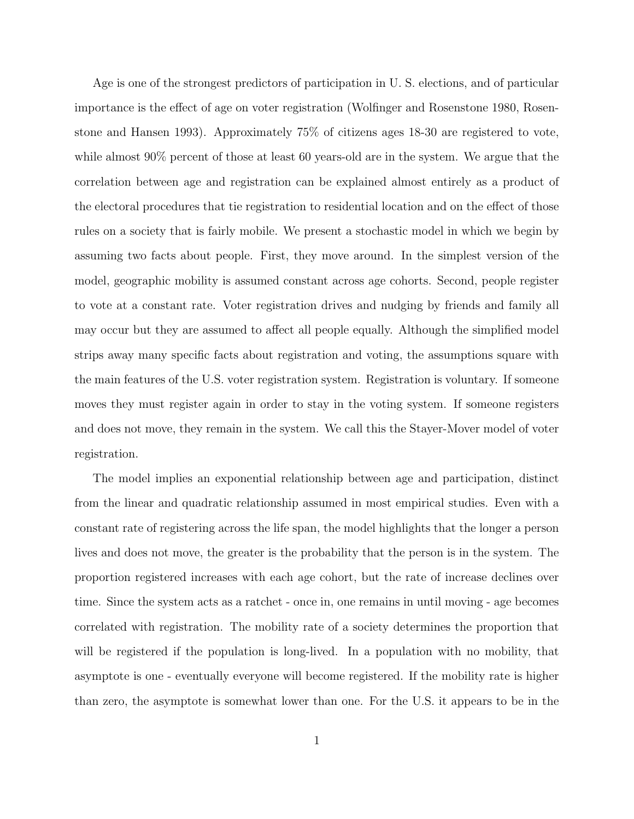Age is one of the strongest predictors of participation in U. S. elections, and of particular importance is the effect of age on voter registration (Wolfinger and Rosenstone 1980, Rosenstone and Hansen 1993). Approximately 75% of citizens ages 18-30 are registered to vote, while almost 90% percent of those at least 60 years-old are in the system. We argue that the correlation between age and registration can be explained almost entirely as a product of the electoral procedures that tie registration to residential location and on the effect of those rules on a society that is fairly mobile. We present a stochastic model in which we begin by assuming two facts about people. First, they move around. In the simplest version of the model, geographic mobility is assumed constant across age cohorts. Second, people register to vote at a constant rate. Voter registration drives and nudging by friends and family all may occur but they are assumed to affect all people equally. Although the simplified model strips away many specific facts about registration and voting, the assumptions square with the main features of the U.S. voter registration system. Registration is voluntary. If someone moves they must register again in order to stay in the voting system. If someone registers and does not move, they remain in the system. We call this the Stayer-Mover model of voter registration.

The model implies an exponential relationship between age and participation, distinct from the linear and quadratic relationship assumed in most empirical studies. Even with a constant rate of registering across the life span, the model highlights that the longer a person lives and does not move, the greater is the probability that the person is in the system. The proportion registered increases with each age cohort, but the rate of increase declines over time. Since the system acts as a ratchet - once in, one remains in until moving - age becomes correlated with registration. The mobility rate of a society determines the proportion that will be registered if the population is long-lived. In a population with no mobility, that asymptote is one - eventually everyone will become registered. If the mobility rate is higher than zero, the asymptote is somewhat lower than one. For the U.S. it appears to be in the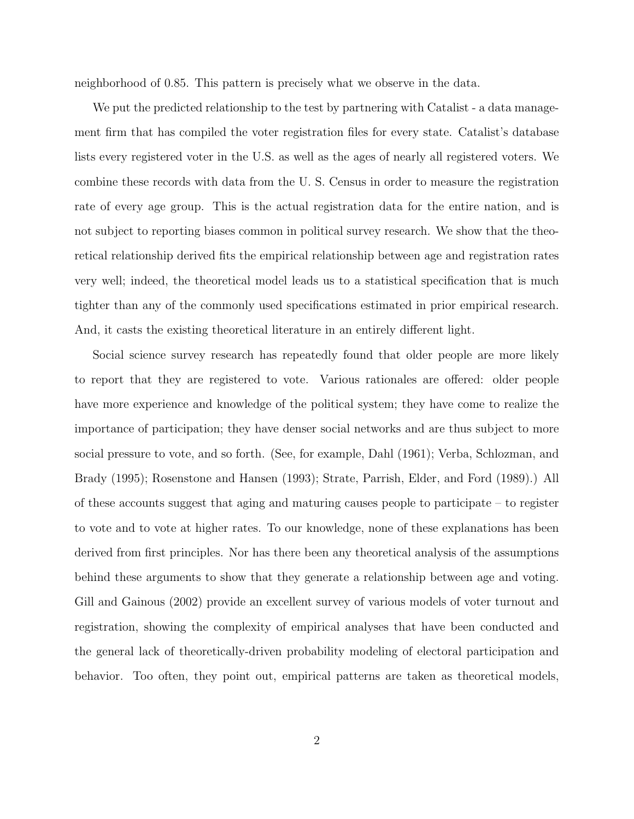neighborhood of 0.85. This pattern is precisely what we observe in the data.

We put the predicted relationship to the test by partnering with Catalist - a data management firm that has compiled the voter registration files for every state. Catalist's database lists every registered voter in the U.S. as well as the ages of nearly all registered voters. We combine these records with data from the U. S. Census in order to measure the registration rate of every age group. This is the actual registration data for the entire nation, and is not subject to reporting biases common in political survey research. We show that the theoretical relationship derived fits the empirical relationship between age and registration rates very well; indeed, the theoretical model leads us to a statistical specification that is much tighter than any of the commonly used specifications estimated in prior empirical research. And, it casts the existing theoretical literature in an entirely different light.

Social science survey research has repeatedly found that older people are more likely to report that they are registered to vote. Various rationales are offered: older people have more experience and knowledge of the political system; they have come to realize the importance of participation; they have denser social networks and are thus subject to more social pressure to vote, and so forth. (See, for example, Dahl (1961); Verba, Schlozman, and Brady (1995); Rosenstone and Hansen (1993); Strate, Parrish, Elder, and Ford (1989).) All of these accounts suggest that aging and maturing causes people to participate – to register to vote and to vote at higher rates. To our knowledge, none of these explanations has been derived from first principles. Nor has there been any theoretical analysis of the assumptions behind these arguments to show that they generate a relationship between age and voting. Gill and Gainous (2002) provide an excellent survey of various models of voter turnout and registration, showing the complexity of empirical analyses that have been conducted and the general lack of theoretically-driven probability modeling of electoral participation and behavior. Too often, they point out, empirical patterns are taken as theoretical models,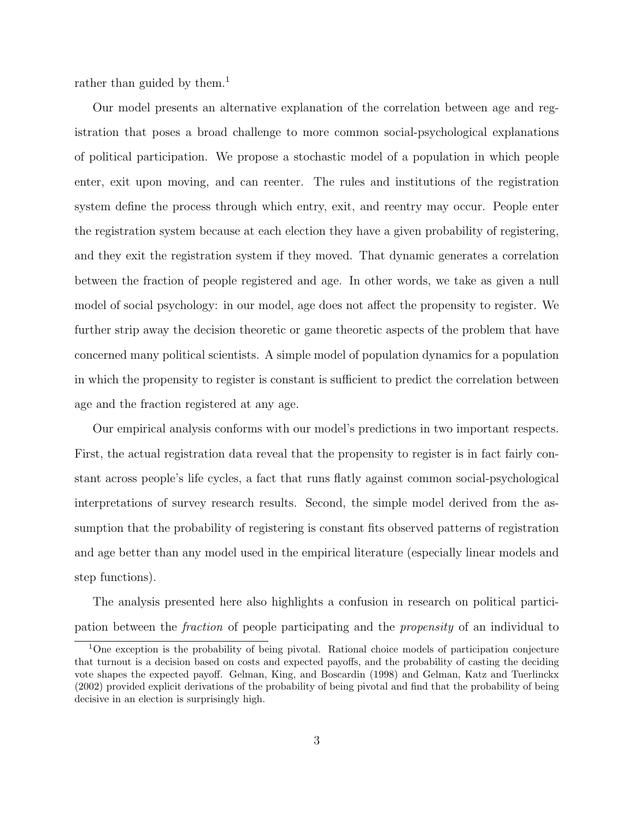rather than guided by them.<sup>1</sup>

Our model presents an alternative explanation of the correlation between age and registration that poses a broad challenge to more common social-psychological explanations of political participation. We propose a stochastic model of a population in which people enter, exit upon moving, and can reenter. The rules and institutions of the registration system define the process through which entry, exit, and reentry may occur. People enter the registration system because at each election they have a given probability of registering, and they exit the registration system if they moved. That dynamic generates a correlation between the fraction of people registered and age. In other words, we take as given a null model of social psychology: in our model, age does not affect the propensity to register. We further strip away the decision theoretic or game theoretic aspects of the problem that have concerned many political scientists. A simple model of population dynamics for a population in which the propensity to register is constant is sufficient to predict the correlation between age and the fraction registered at any age.

Our empirical analysis conforms with our model's predictions in two important respects. First, the actual registration data reveal that the propensity to register is in fact fairly constant across people's life cycles, a fact that runs flatly against common social-psychological interpretations of survey research results. Second, the simple model derived from the assumption that the probability of registering is constant fits observed patterns of registration and age better than any model used in the empirical literature (especially linear models and step functions).

The analysis presented here also highlights a confusion in research on political participation between the fraction of people participating and the propensity of an individual to

<sup>&</sup>lt;sup>1</sup>One exception is the probability of being pivotal. Rational choice models of participation conjecture that turnout is a decision based on costs and expected payoffs, and the probability of casting the deciding vote shapes the expected payoff. Gelman, King, and Boscardin (1998) and Gelman, Katz and Tuerlinckx (2002) provided explicit derivations of the probability of being pivotal and find that the probability of being decisive in an election is surprisingly high.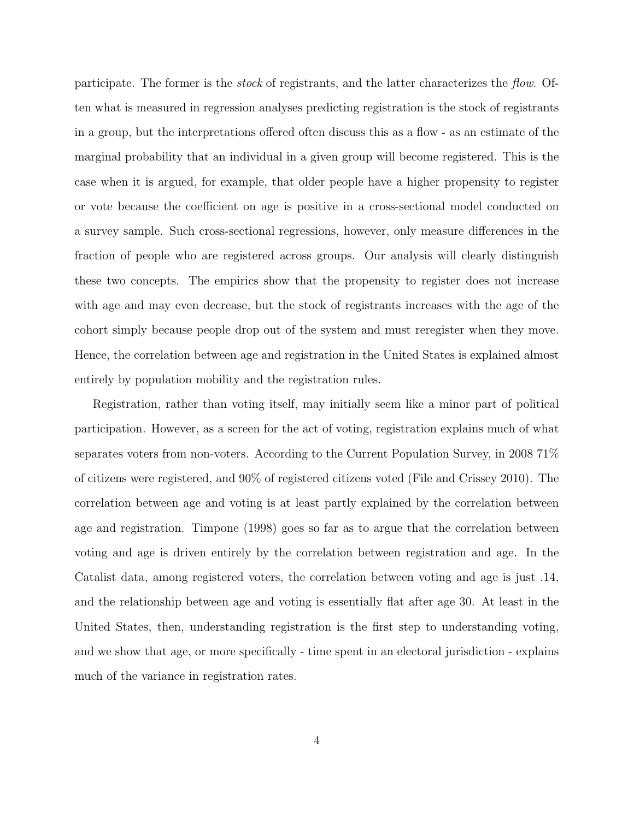participate. The former is the stock of registrants, and the latter characterizes the flow. Often what is measured in regression analyses predicting registration is the stock of registrants in a group, but the interpretations offered often discuss this as a flow - as an estimate of the marginal probability that an individual in a given group will become registered. This is the case when it is argued, for example, that older people have a higher propensity to register or vote because the coefficient on age is positive in a cross-sectional model conducted on a survey sample. Such cross-sectional regressions, however, only measure differences in the fraction of people who are registered across groups. Our analysis will clearly distinguish these two concepts. The empirics show that the propensity to register does not increase with age and may even decrease, but the stock of registrants increases with the age of the cohort simply because people drop out of the system and must reregister when they move. Hence, the correlation between age and registration in the United States is explained almost entirely by population mobility and the registration rules.

Registration, rather than voting itself, may initially seem like a minor part of political participation. However, as a screen for the act of voting, registration explains much of what separates voters from non-voters. According to the Current Population Survey, in 2008 71% of citizens were registered, and 90% of registered citizens voted (File and Crissey 2010). The correlation between age and voting is at least partly explained by the correlation between age and registration. Timpone (1998) goes so far as to argue that the correlation between voting and age is driven entirely by the correlation between registration and age. In the Catalist data, among registered voters, the correlation between voting and age is just .14, and the relationship between age and voting is essentially flat after age 30. At least in the United States, then, understanding registration is the first step to understanding voting, and we show that age, or more specifically - time spent in an electoral jurisdiction - explains much of the variance in registration rates.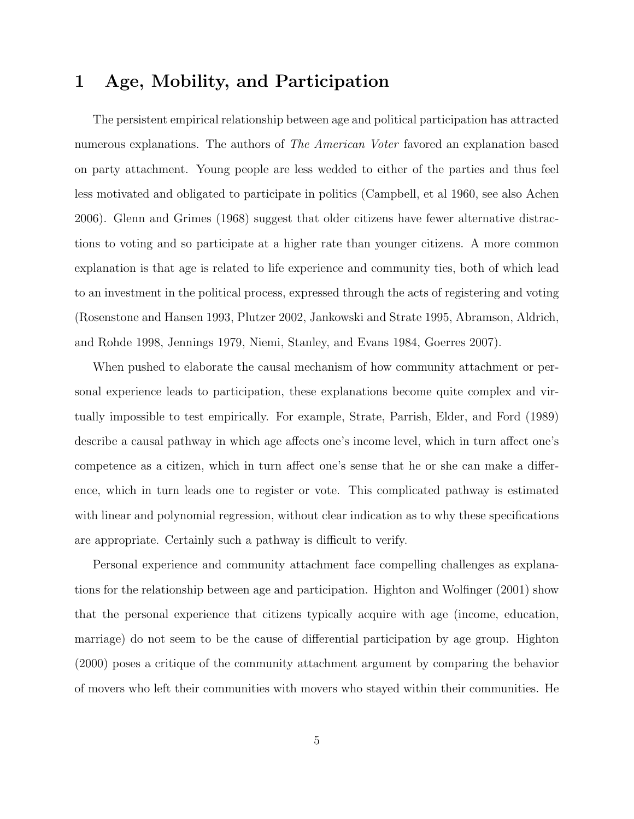## 1 Age, Mobility, and Participation

The persistent empirical relationship between age and political participation has attracted numerous explanations. The authors of The American Voter favored an explanation based on party attachment. Young people are less wedded to either of the parties and thus feel less motivated and obligated to participate in politics (Campbell, et al 1960, see also Achen 2006). Glenn and Grimes (1968) suggest that older citizens have fewer alternative distractions to voting and so participate at a higher rate than younger citizens. A more common explanation is that age is related to life experience and community ties, both of which lead to an investment in the political process, expressed through the acts of registering and voting (Rosenstone and Hansen 1993, Plutzer 2002, Jankowski and Strate 1995, Abramson, Aldrich, and Rohde 1998, Jennings 1979, Niemi, Stanley, and Evans 1984, Goerres 2007).

When pushed to elaborate the causal mechanism of how community attachment or personal experience leads to participation, these explanations become quite complex and virtually impossible to test empirically. For example, Strate, Parrish, Elder, and Ford (1989) describe a causal pathway in which age affects one's income level, which in turn affect one's competence as a citizen, which in turn affect one's sense that he or she can make a difference, which in turn leads one to register or vote. This complicated pathway is estimated with linear and polynomial regression, without clear indication as to why these specifications are appropriate. Certainly such a pathway is difficult to verify.

Personal experience and community attachment face compelling challenges as explanations for the relationship between age and participation. Highton and Wolfinger (2001) show that the personal experience that citizens typically acquire with age (income, education, marriage) do not seem to be the cause of differential participation by age group. Highton (2000) poses a critique of the community attachment argument by comparing the behavior of movers who left their communities with movers who stayed within their communities. He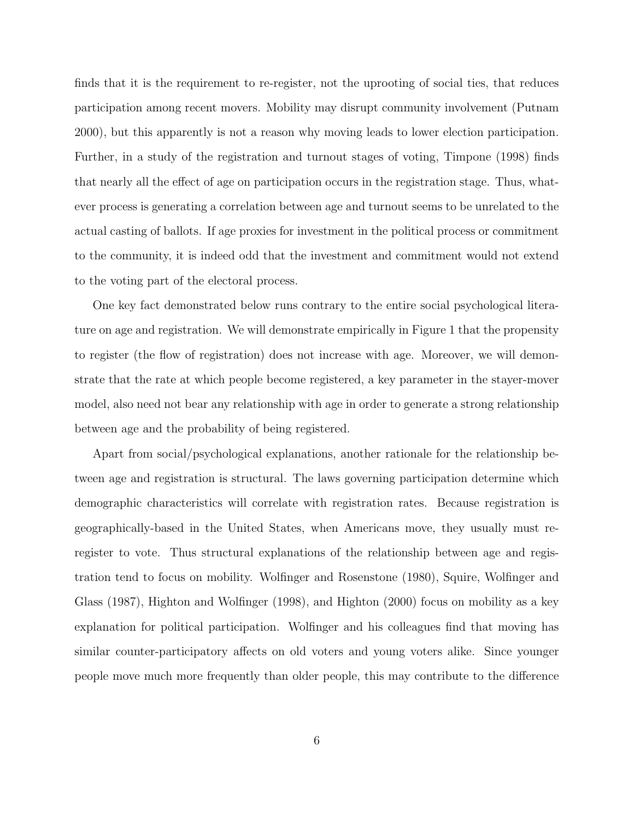finds that it is the requirement to re-register, not the uprooting of social ties, that reduces participation among recent movers. Mobility may disrupt community involvement (Putnam 2000), but this apparently is not a reason why moving leads to lower election participation. Further, in a study of the registration and turnout stages of voting, Timpone (1998) finds that nearly all the effect of age on participation occurs in the registration stage. Thus, whatever process is generating a correlation between age and turnout seems to be unrelated to the actual casting of ballots. If age proxies for investment in the political process or commitment to the community, it is indeed odd that the investment and commitment would not extend to the voting part of the electoral process.

One key fact demonstrated below runs contrary to the entire social psychological literature on age and registration. We will demonstrate empirically in Figure 1 that the propensity to register (the flow of registration) does not increase with age. Moreover, we will demonstrate that the rate at which people become registered, a key parameter in the stayer-mover model, also need not bear any relationship with age in order to generate a strong relationship between age and the probability of being registered.

Apart from social/psychological explanations, another rationale for the relationship between age and registration is structural. The laws governing participation determine which demographic characteristics will correlate with registration rates. Because registration is geographically-based in the United States, when Americans move, they usually must reregister to vote. Thus structural explanations of the relationship between age and registration tend to focus on mobility. Wolfinger and Rosenstone (1980), Squire, Wolfinger and Glass (1987), Highton and Wolfinger (1998), and Highton (2000) focus on mobility as a key explanation for political participation. Wolfinger and his colleagues find that moving has similar counter-participatory affects on old voters and young voters alike. Since younger people move much more frequently than older people, this may contribute to the difference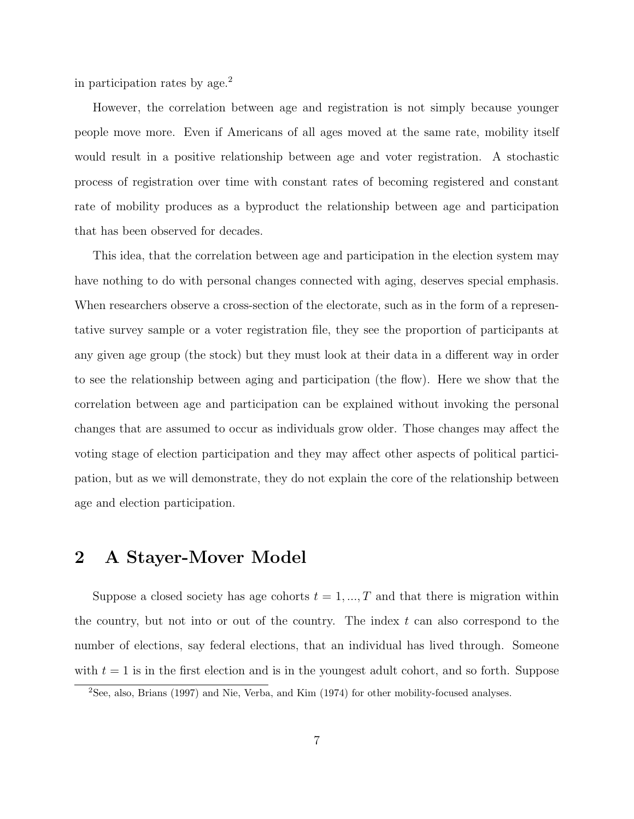in participation rates by age. $<sup>2</sup>$ </sup>

However, the correlation between age and registration is not simply because younger people move more. Even if Americans of all ages moved at the same rate, mobility itself would result in a positive relationship between age and voter registration. A stochastic process of registration over time with constant rates of becoming registered and constant rate of mobility produces as a byproduct the relationship between age and participation that has been observed for decades.

This idea, that the correlation between age and participation in the election system may have nothing to do with personal changes connected with aging, deserves special emphasis. When researchers observe a cross-section of the electorate, such as in the form of a representative survey sample or a voter registration file, they see the proportion of participants at any given age group (the stock) but they must look at their data in a different way in order to see the relationship between aging and participation (the flow). Here we show that the correlation between age and participation can be explained without invoking the personal changes that are assumed to occur as individuals grow older. Those changes may affect the voting stage of election participation and they may affect other aspects of political participation, but as we will demonstrate, they do not explain the core of the relationship between age and election participation.

### 2 A Stayer-Mover Model

Suppose a closed society has age cohorts  $t = 1, ..., T$  and that there is migration within the country, but not into or out of the country. The index  $t$  can also correspond to the number of elections, say federal elections, that an individual has lived through. Someone with  $t = 1$  is in the first election and is in the youngest adult cohort, and so forth. Suppose

<sup>2</sup>See, also, Brians (1997) and Nie, Verba, and Kim (1974) for other mobility-focused analyses.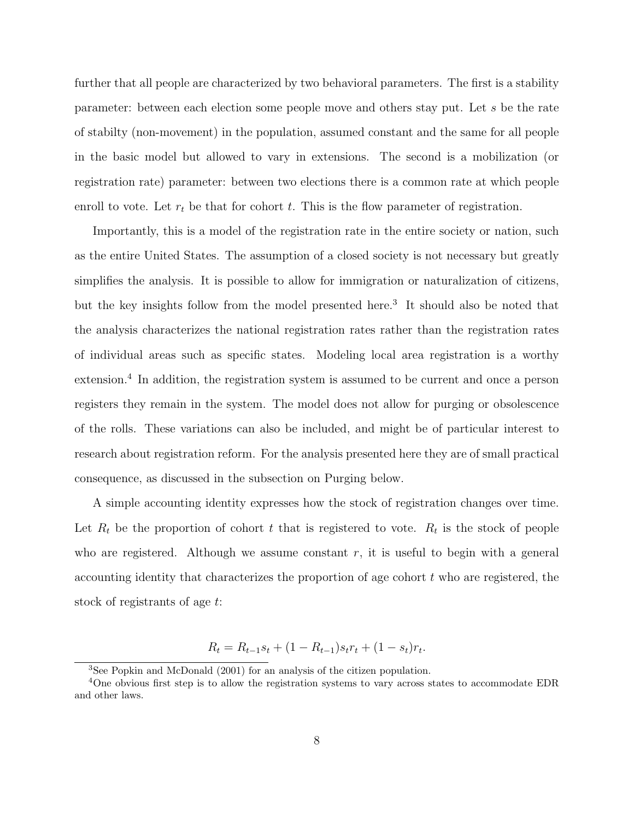further that all people are characterized by two behavioral parameters. The first is a stability parameter: between each election some people move and others stay put. Let s be the rate of stabilty (non-movement) in the population, assumed constant and the same for all people in the basic model but allowed to vary in extensions. The second is a mobilization (or registration rate) parameter: between two elections there is a common rate at which people enroll to vote. Let  $r_t$  be that for cohort t. This is the flow parameter of registration.

Importantly, this is a model of the registration rate in the entire society or nation, such as the entire United States. The assumption of a closed society is not necessary but greatly simplifies the analysis. It is possible to allow for immigration or naturalization of citizens, but the key insights follow from the model presented here.<sup>3</sup> It should also be noted that the analysis characterizes the national registration rates rather than the registration rates of individual areas such as specific states. Modeling local area registration is a worthy extension.<sup>4</sup> In addition, the registration system is assumed to be current and once a person registers they remain in the system. The model does not allow for purging or obsolescence of the rolls. These variations can also be included, and might be of particular interest to research about registration reform. For the analysis presented here they are of small practical consequence, as discussed in the subsection on Purging below.

A simple accounting identity expresses how the stock of registration changes over time. Let  $R_t$  be the proportion of cohort t that is registered to vote.  $R_t$  is the stock of people who are registered. Although we assume constant  $r$ , it is useful to begin with a general accounting identity that characterizes the proportion of age cohort  $t$  who are registered, the stock of registrants of age t:

$$
R_t = R_{t-1}s_t + (1 - R_{t-1})s_t r_t + (1 - s_t)r_t.
$$

<sup>3</sup>See Popkin and McDonald (2001) for an analysis of the citizen population.

<sup>&</sup>lt;sup>4</sup>One obvious first step is to allow the registration systems to vary across states to accommodate EDR and other laws.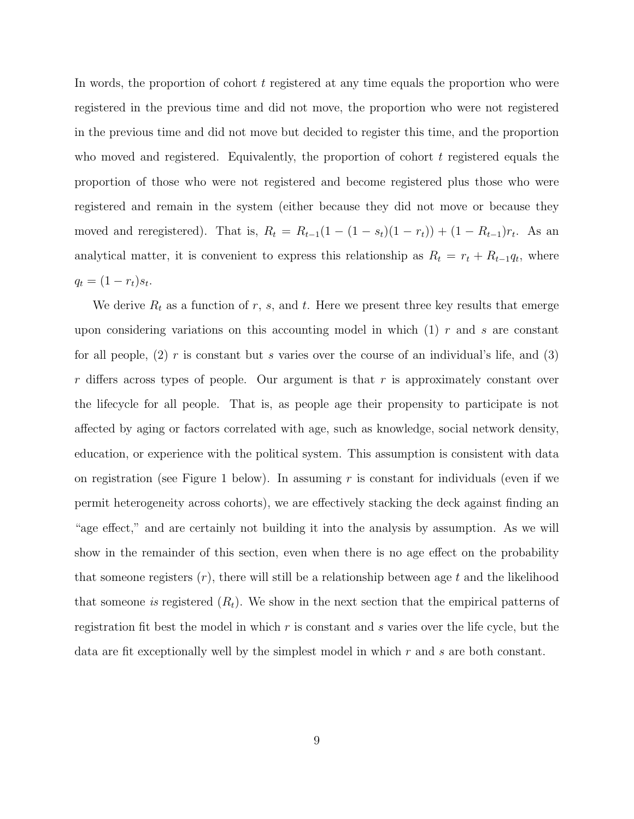In words, the proportion of cohort  $t$  registered at any time equals the proportion who were registered in the previous time and did not move, the proportion who were not registered in the previous time and did not move but decided to register this time, and the proportion who moved and registered. Equivalently, the proportion of cohort  $t$  registered equals the proportion of those who were not registered and become registered plus those who were registered and remain in the system (either because they did not move or because they moved and reregistered). That is,  $R_t = R_{t-1}(1-(1-s_t)(1-r_t)) + (1-R_{t-1})r_t$ . As an analytical matter, it is convenient to express this relationship as  $R_t = r_t + R_{t-1}q_t$ , where  $q_t = (1 - r_t)s_t.$ 

We derive  $R_t$  as a function of r, s, and t. Here we present three key results that emerge upon considering variations on this accounting model in which  $(1)$  r and s are constant for all people,  $(2)$  r is constant but s varies over the course of an individual's life, and  $(3)$  $r$  differs across types of people. Our argument is that  $r$  is approximately constant over the lifecycle for all people. That is, as people age their propensity to participate is not affected by aging or factors correlated with age, such as knowledge, social network density, education, or experience with the political system. This assumption is consistent with data on registration (see Figure 1 below). In assuming  $r$  is constant for individuals (even if we permit heterogeneity across cohorts), we are effectively stacking the deck against finding an "age effect," and are certainly not building it into the analysis by assumption. As we will show in the remainder of this section, even when there is no age effect on the probability that someone registers  $(r)$ , there will still be a relationship between age t and the likelihood that someone is registered  $(R_t)$ . We show in the next section that the empirical patterns of registration fit best the model in which  $r$  is constant and  $s$  varies over the life cycle, but the data are fit exceptionally well by the simplest model in which r and s are both constant.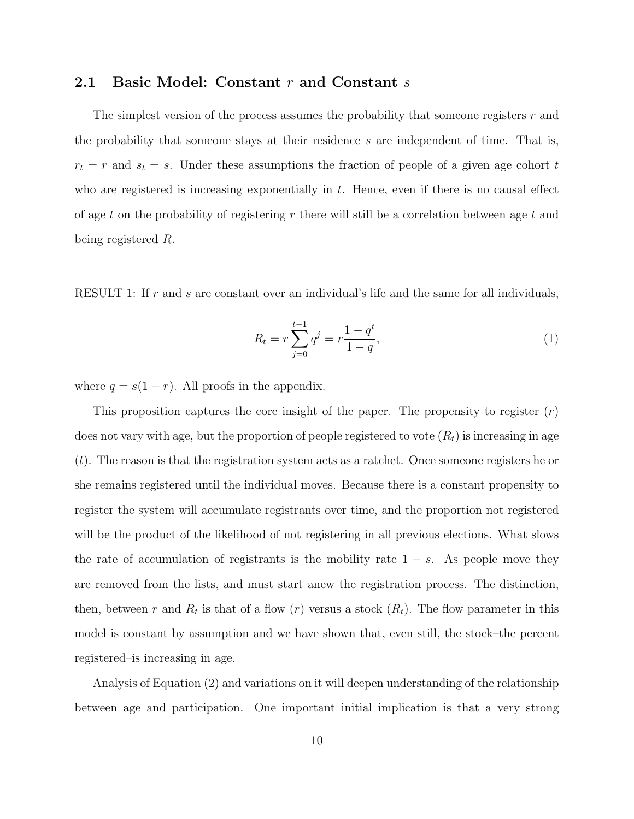#### 2.1 Basic Model: Constant  $r$  and Constant  $s$

The simplest version of the process assumes the probability that someone registers  $r$  and the probability that someone stays at their residence s are independent of time. That is,  $r_t = r$  and  $s_t = s$ . Under these assumptions the fraction of people of a given age cohort t who are registered is increasing exponentially in  $t$ . Hence, even if there is no causal effect of age t on the probability of registering  $r$  there will still be a correlation between age t and being registered R.

RESULT 1: If r and s are constant over an individual's life and the same for all individuals,

$$
R_t = r \sum_{j=0}^{t-1} q^j = r \frac{1 - q^t}{1 - q},\tag{1}
$$

where  $q = s(1 - r)$ . All proofs in the appendix.

This proposition captures the core insight of the paper. The propensity to register  $(r)$ does not vary with age, but the proportion of people registered to vote  $(R_t)$  is increasing in age  $(t)$ . The reason is that the registration system acts as a ratchet. Once someone registers he or she remains registered until the individual moves. Because there is a constant propensity to register the system will accumulate registrants over time, and the proportion not registered will be the product of the likelihood of not registering in all previous elections. What slows the rate of accumulation of registrants is the mobility rate  $1 - s$ . As people move they are removed from the lists, and must start anew the registration process. The distinction, then, between r and  $R_t$  is that of a flow (r) versus a stock  $(R_t)$ . The flow parameter in this model is constant by assumption and we have shown that, even still, the stock–the percent registered–is increasing in age.

Analysis of Equation (2) and variations on it will deepen understanding of the relationship between age and participation. One important initial implication is that a very strong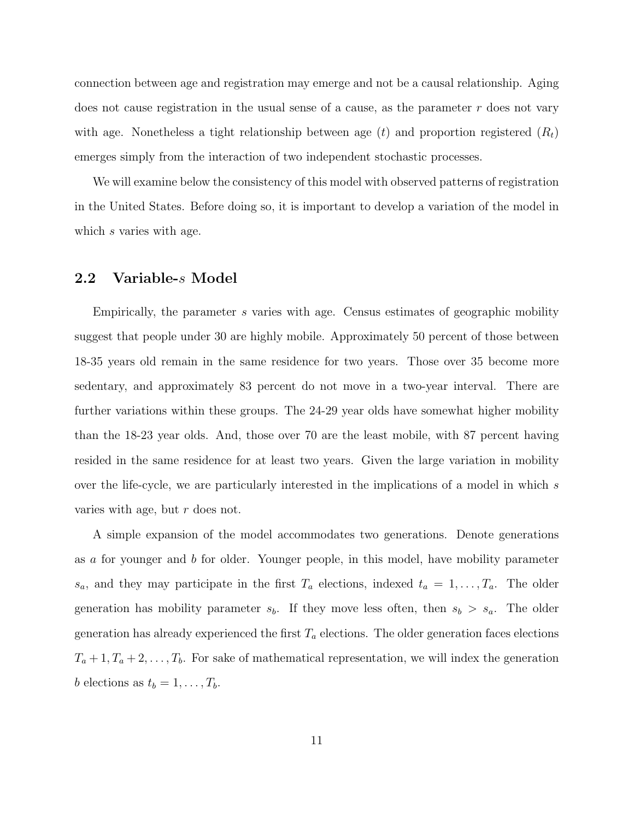connection between age and registration may emerge and not be a causal relationship. Aging does not cause registration in the usual sense of a cause, as the parameter  $r$  does not vary with age. Nonetheless a tight relationship between age  $(t)$  and proportion registered  $(R_t)$ emerges simply from the interaction of two independent stochastic processes.

We will examine below the consistency of this model with observed patterns of registration in the United States. Before doing so, it is important to develop a variation of the model in which s varies with age.

#### 2.2 Variable-s Model

Empirically, the parameter s varies with age. Census estimates of geographic mobility suggest that people under 30 are highly mobile. Approximately 50 percent of those between 18-35 years old remain in the same residence for two years. Those over 35 become more sedentary, and approximately 83 percent do not move in a two-year interval. There are further variations within these groups. The 24-29 year olds have somewhat higher mobility than the 18-23 year olds. And, those over 70 are the least mobile, with 87 percent having resided in the same residence for at least two years. Given the large variation in mobility over the life-cycle, we are particularly interested in the implications of a model in which s varies with age, but r does not.

A simple expansion of the model accommodates two generations. Denote generations as a for younger and b for older. Younger people, in this model, have mobility parameter  $s_a$ , and they may participate in the first  $T_a$  elections, indexed  $t_a = 1, \ldots, T_a$ . The older generation has mobility parameter  $s_b$ . If they move less often, then  $s_b > s_a$ . The older generation has already experienced the first  $T_a$  elections. The older generation faces elections  $T_a + 1, T_a + 2, \ldots, T_b$ . For sake of mathematical representation, we will index the generation b elections as  $t_b = 1, \ldots, T_b$ .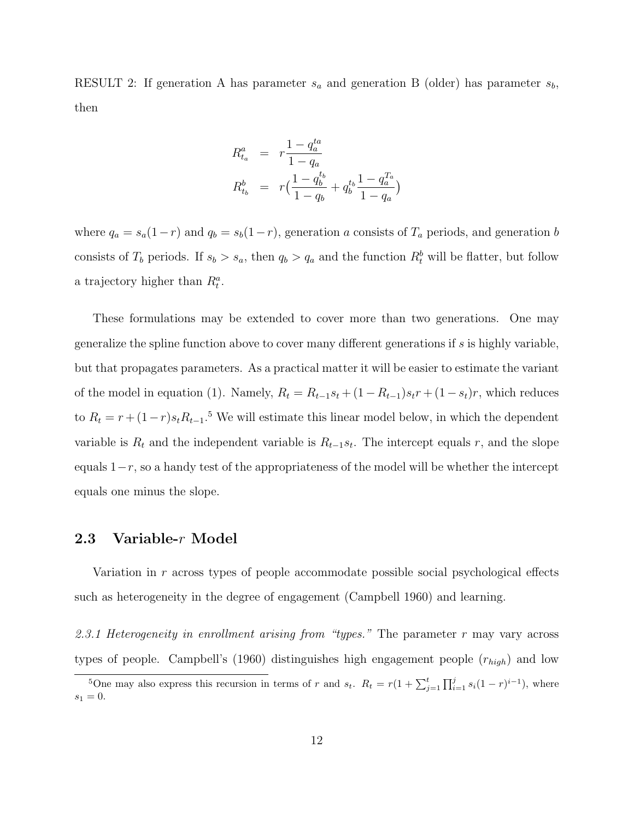RESULT 2: If generation A has parameter  $s_a$  and generation B (older) has parameter  $s_b$ , then

$$
R_{t_a}^a = r \frac{1 - q_a^{ta}}{1 - q_a}
$$
  
\n
$$
R_{t_b}^b = r \left( \frac{1 - q_b^{t_b}}{1 - q_b} + q_b^{t_b} \frac{1 - q_a^{T_a}}{1 - q_a} \right)
$$

where  $q_a = s_a(1-r)$  and  $q_b = s_b(1-r)$ , generation a consists of  $T_a$  periods, and generation b consists of  $T_b$  periods. If  $s_b > s_a$ , then  $q_b > q_a$  and the function  $R_t^b$  will be flatter, but follow a trajectory higher than  $R_t^a$ .

These formulations may be extended to cover more than two generations. One may generalize the spline function above to cover many different generations if s is highly variable, but that propagates parameters. As a practical matter it will be easier to estimate the variant of the model in equation (1). Namely,  $R_t = R_{t-1}s_t + (1 - R_{t-1})s_t r + (1 - s_t)r$ , which reduces to  $R_t = r + (1-r)s_tR_{t-1}$ .<sup>5</sup> We will estimate this linear model below, in which the dependent variable is  $R_t$  and the independent variable is  $R_{t-1}s_t$ . The intercept equals r, and the slope equals  $1-r$ , so a handy test of the appropriateness of the model will be whether the intercept equals one minus the slope.

#### 2.3 Variable-r Model

Variation in r across types of people accommodate possible social psychological effects such as heterogeneity in the degree of engagement (Campbell 1960) and learning.

2.3.1 Heterogeneity in enrollment arising from "types." The parameter  $r$  may vary across types of people. Campbell's (1960) distinguishes high engagement people  $(r_{high})$  and low

<sup>&</sup>lt;sup>5</sup>One may also express this recursion in terms of r and  $s_t$ .  $R_t = r(1 + \sum_{j=1}^t \prod_{i=1}^j s_i(1-r)^{i-1})$ , where  $s_1 = 0.$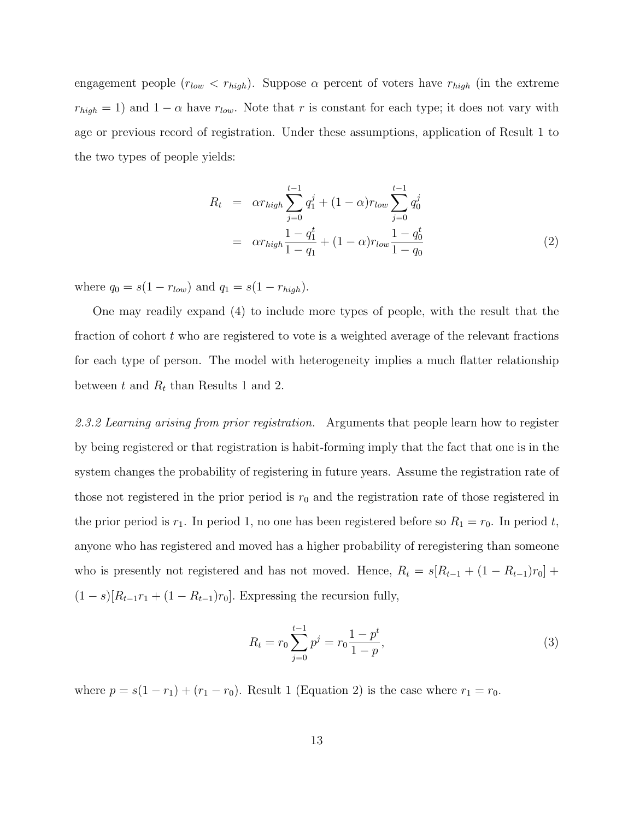engagement people  $(r_{low} < r_{high})$ . Suppose  $\alpha$  percent of voters have  $r_{high}$  (in the extreme  $r_{high} = 1$ ) and  $1 - \alpha$  have  $r_{low}$ . Note that r is constant for each type; it does not vary with age or previous record of registration. Under these assumptions, application of Result 1 to the two types of people yields:

$$
R_{t} = \alpha r_{high} \sum_{j=0}^{t-1} q_{1}^{j} + (1 - \alpha) r_{low} \sum_{j=0}^{t-1} q_{0}^{j}
$$
  

$$
= \alpha r_{high} \frac{1 - q_{1}^{t}}{1 - q_{1}} + (1 - \alpha) r_{low} \frac{1 - q_{0}^{t}}{1 - q_{0}}
$$
(2)

where  $q_0 = s(1 - r_{low})$  and  $q_1 = s(1 - r_{high})$ .

One may readily expand (4) to include more types of people, with the result that the fraction of cohort  $t$  who are registered to vote is a weighted average of the relevant fractions for each type of person. The model with heterogeneity implies a much flatter relationship between  $t$  and  $R_t$  than Results 1 and 2.

2.3.2 Learning arising from prior registration. Arguments that people learn how to register by being registered or that registration is habit-forming imply that the fact that one is in the system changes the probability of registering in future years. Assume the registration rate of those not registered in the prior period is  $r_0$  and the registration rate of those registered in the prior period is  $r_1$ . In period 1, no one has been registered before so  $R_1 = r_0$ . In period t, anyone who has registered and moved has a higher probability of reregistering than someone who is presently not registered and has not moved. Hence,  $R_t = s[R_{t-1} + (1 - R_{t-1})r_0] +$  $(1 - s)[R_{t-1}r_1 + (1 - R_{t-1})r_0]$ . Expressing the recursion fully,

$$
R_t = r_0 \sum_{j=0}^{t-1} p^j = r_0 \frac{1-p^t}{1-p},
$$
\n(3)

where  $p = s(1 - r_1) + (r_1 - r_0)$ . Result 1 (Equation 2) is the case where  $r_1 = r_0$ .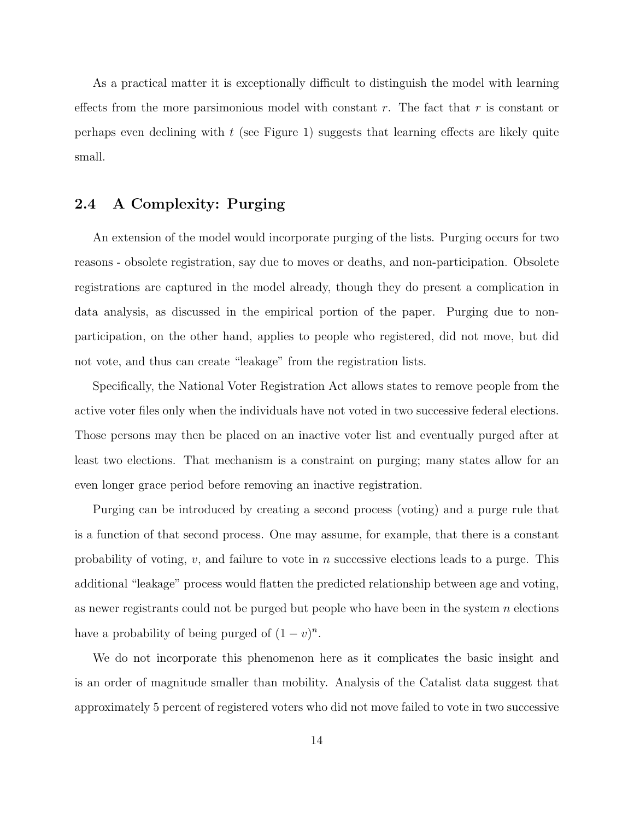As a practical matter it is exceptionally difficult to distinguish the model with learning effects from the more parsimonious model with constant  $r$ . The fact that  $r$  is constant or perhaps even declining with  $t$  (see Figure 1) suggests that learning effects are likely quite small.

#### 2.4 A Complexity: Purging

An extension of the model would incorporate purging of the lists. Purging occurs for two reasons - obsolete registration, say due to moves or deaths, and non-participation. Obsolete registrations are captured in the model already, though they do present a complication in data analysis, as discussed in the empirical portion of the paper. Purging due to nonparticipation, on the other hand, applies to people who registered, did not move, but did not vote, and thus can create "leakage" from the registration lists.

Specifically, the National Voter Registration Act allows states to remove people from the active voter files only when the individuals have not voted in two successive federal elections. Those persons may then be placed on an inactive voter list and eventually purged after at least two elections. That mechanism is a constraint on purging; many states allow for an even longer grace period before removing an inactive registration.

Purging can be introduced by creating a second process (voting) and a purge rule that is a function of that second process. One may assume, for example, that there is a constant probability of voting, v, and failure to vote in n successive elections leads to a purge. This additional "leakage" process would flatten the predicted relationship between age and voting, as newer registrants could not be purged but people who have been in the system  $n$  elections have a probability of being purged of  $(1 - v)^n$ .

We do not incorporate this phenomenon here as it complicates the basic insight and is an order of magnitude smaller than mobility. Analysis of the Catalist data suggest that approximately 5 percent of registered voters who did not move failed to vote in two successive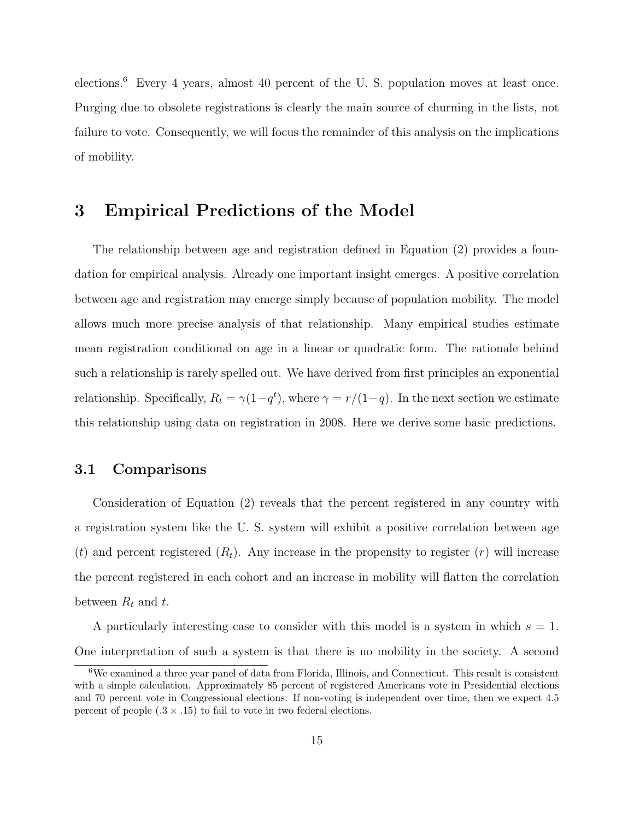elections.<sup>6</sup> Every 4 years, almost 40 percent of the U. S. population moves at least once. Purging due to obsolete registrations is clearly the main source of churning in the lists, not failure to vote. Consequently, we will focus the remainder of this analysis on the implications of mobility.

### 3 Empirical Predictions of the Model

The relationship between age and registration defined in Equation (2) provides a foundation for empirical analysis. Already one important insight emerges. A positive correlation between age and registration may emerge simply because of population mobility. The model allows much more precise analysis of that relationship. Many empirical studies estimate mean registration conditional on age in a linear or quadratic form. The rationale behind such a relationship is rarely spelled out. We have derived from first principles an exponential relationship. Specifically,  $R_t = \gamma(1-q^t)$ , where  $\gamma = r/(1-q)$ . In the next section we estimate this relationship using data on registration in 2008. Here we derive some basic predictions.

#### 3.1 Comparisons

Consideration of Equation (2) reveals that the percent registered in any country with a registration system like the U. S. system will exhibit a positive correlation between age (t) and percent registered  $(R_t)$ . Any increase in the propensity to register  $(r)$  will increase the percent registered in each cohort and an increase in mobility will flatten the correlation between  $R_t$  and t.

A particularly interesting case to consider with this model is a system in which  $s = 1$ . One interpretation of such a system is that there is no mobility in the society. A second

 $6$ We examined a three year panel of data from Florida, Illinois, and Connecticut. This result is consistent with a simple calculation. Approximately 85 percent of registered Americans vote in Presidential elections and 70 percent vote in Congressional elections. If non-voting is independent over time, then we expect 4.5 percent of people  $(.3 \times .15)$  to fail to vote in two federal elections.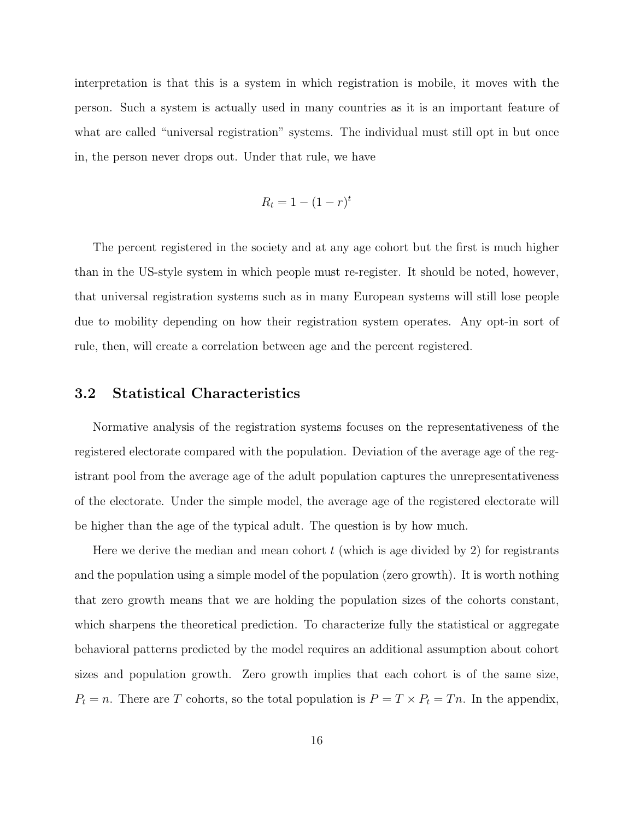interpretation is that this is a system in which registration is mobile, it moves with the person. Such a system is actually used in many countries as it is an important feature of what are called "universal registration" systems. The individual must still opt in but once in, the person never drops out. Under that rule, we have

$$
R_t = 1 - (1 - r)^t
$$

The percent registered in the society and at any age cohort but the first is much higher than in the US-style system in which people must re-register. It should be noted, however, that universal registration systems such as in many European systems will still lose people due to mobility depending on how their registration system operates. Any opt-in sort of rule, then, will create a correlation between age and the percent registered.

#### 3.2 Statistical Characteristics

Normative analysis of the registration systems focuses on the representativeness of the registered electorate compared with the population. Deviation of the average age of the registrant pool from the average age of the adult population captures the unrepresentativeness of the electorate. Under the simple model, the average age of the registered electorate will be higher than the age of the typical adult. The question is by how much.

Here we derive the median and mean cohort  $t$  (which is age divided by 2) for registrants and the population using a simple model of the population (zero growth). It is worth nothing that zero growth means that we are holding the population sizes of the cohorts constant, which sharpens the theoretical prediction. To characterize fully the statistical or aggregate behavioral patterns predicted by the model requires an additional assumption about cohort sizes and population growth. Zero growth implies that each cohort is of the same size,  $P_t = n$ . There are T cohorts, so the total population is  $P = T \times P_t = T n$ . In the appendix,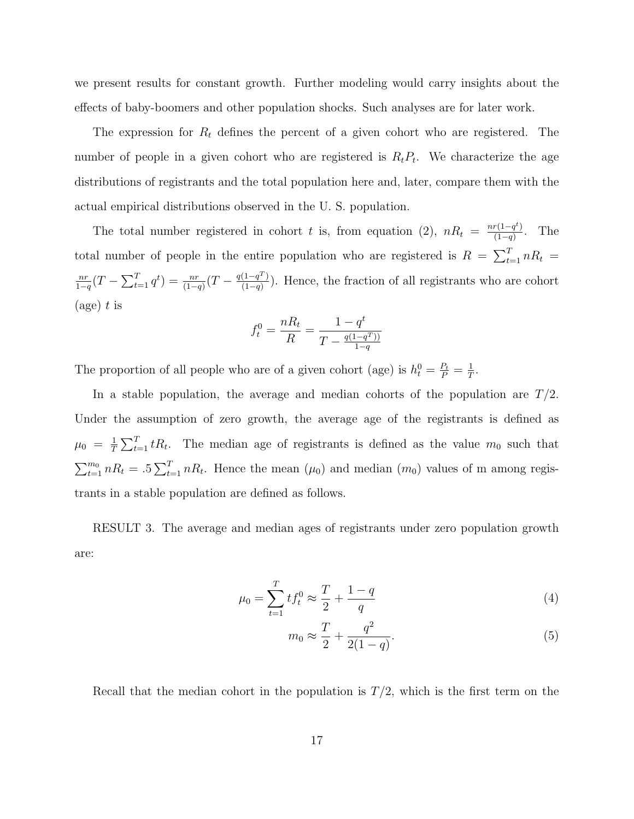we present results for constant growth. Further modeling would carry insights about the effects of baby-boomers and other population shocks. Such analyses are for later work.

The expression for  $R_t$  defines the percent of a given cohort who are registered. The number of people in a given cohort who are registered is  $R_t P_t$ . We characterize the age distributions of registrants and the total population here and, later, compare them with the actual empirical distributions observed in the U. S. population.

The total number registered in cohort t is, from equation (2),  $nR_t = \frac{nr(1-q^t)}{(1-q)}$  $\frac{r(1-q^{\epsilon})}{(1-q)}$ . The total number of people in the entire population who are registered is  $R = \sum_{t=1}^{T} nR_t =$ nr  $\frac{nr}{1-q}(T-\sum_{t=1}^T q^t) = \frac{nr}{(1-q)}(T-\frac{q(1-q^T)}{(1-q)})$  $\frac{(1-q^2)}{(1-q)}$ ). Hence, the fraction of all registrants who are cohort  $(\text{age})$  t is

$$
f_t^0 = \frac{nR_t}{R} = \frac{1 - q^t}{T - \frac{q(1 - q^T)}{1 - q}}
$$

The proportion of all people who are of a given cohort (age) is  $h_t^0 = \frac{P_t}{P} = \frac{1}{T}$  $\frac{1}{T}$  .

In a stable population, the average and median cohorts of the population are  $T/2$ . Under the assumption of zero growth, the average age of the registrants is defined as  $\mu_0 = \frac{1}{7}$  $\frac{1}{T} \sum_{t=1}^{T} tR_t$ . The median age of registrants is defined as the value  $m_0$  such that  $\sum_{t=1}^{m_0} nR_t = .5 \sum_{t=1}^T nR_t$ . Hence the mean  $(\mu_0)$  and median  $(m_0)$  values of m among registrants in a stable population are defined as follows.

RESULT 3. The average and median ages of registrants under zero population growth are:

$$
\mu_0 = \sum_{t=1}^T t f_t^0 \approx \frac{T}{2} + \frac{1-q}{q} \tag{4}
$$

$$
m_0 \approx \frac{T}{2} + \frac{q^2}{2(1-q)}.\tag{5}
$$

Recall that the median cohort in the population is  $T/2$ , which is the first term on the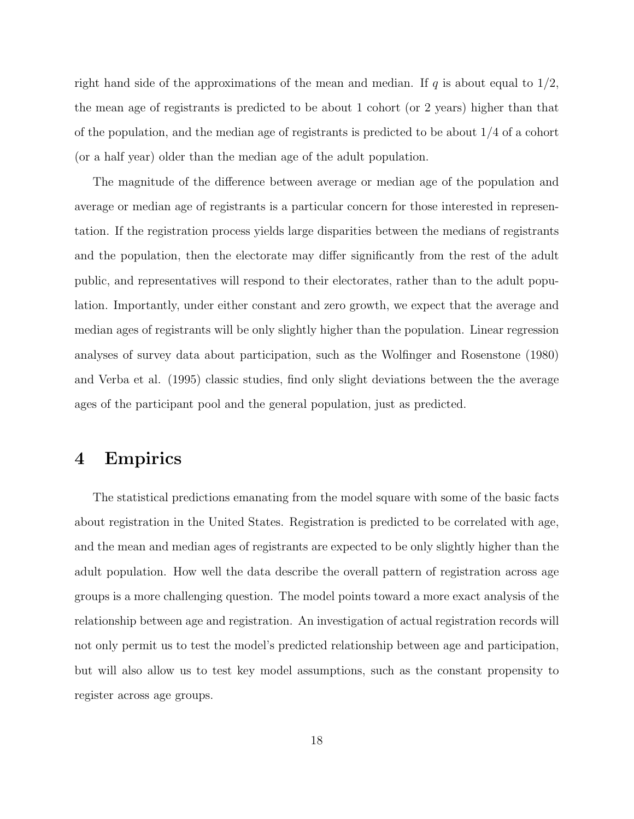right hand side of the approximations of the mean and median. If q is about equal to  $1/2$ , the mean age of registrants is predicted to be about 1 cohort (or 2 years) higher than that of the population, and the median age of registrants is predicted to be about  $1/4$  of a cohort (or a half year) older than the median age of the adult population.

The magnitude of the difference between average or median age of the population and average or median age of registrants is a particular concern for those interested in representation. If the registration process yields large disparities between the medians of registrants and the population, then the electorate may differ significantly from the rest of the adult public, and representatives will respond to their electorates, rather than to the adult population. Importantly, under either constant and zero growth, we expect that the average and median ages of registrants will be only slightly higher than the population. Linear regression analyses of survey data about participation, such as the Wolfinger and Rosenstone (1980) and Verba et al. (1995) classic studies, find only slight deviations between the the average ages of the participant pool and the general population, just as predicted.

## 4 Empirics

The statistical predictions emanating from the model square with some of the basic facts about registration in the United States. Registration is predicted to be correlated with age, and the mean and median ages of registrants are expected to be only slightly higher than the adult population. How well the data describe the overall pattern of registration across age groups is a more challenging question. The model points toward a more exact analysis of the relationship between age and registration. An investigation of actual registration records will not only permit us to test the model's predicted relationship between age and participation, but will also allow us to test key model assumptions, such as the constant propensity to register across age groups.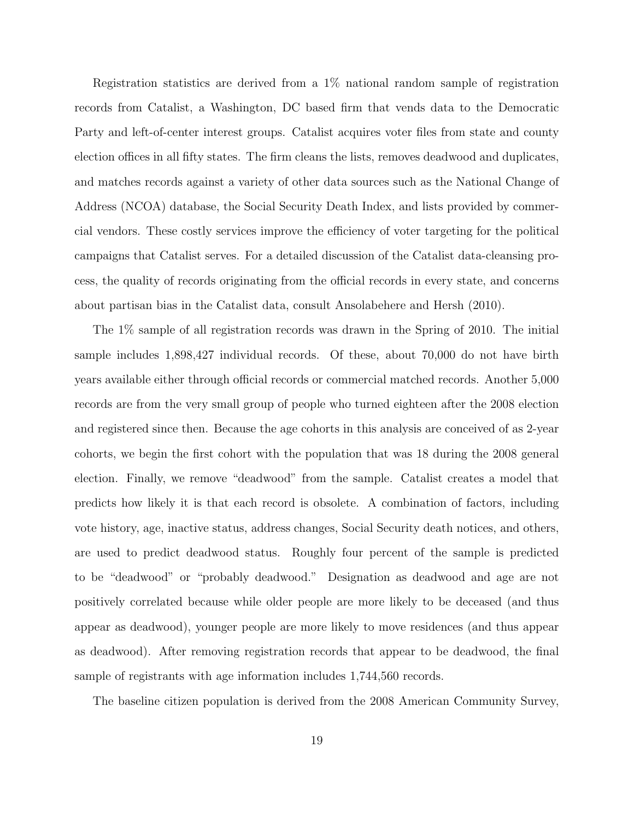Registration statistics are derived from a 1% national random sample of registration records from Catalist, a Washington, DC based firm that vends data to the Democratic Party and left-of-center interest groups. Catalist acquires voter files from state and county election offices in all fifty states. The firm cleans the lists, removes deadwood and duplicates, and matches records against a variety of other data sources such as the National Change of Address (NCOA) database, the Social Security Death Index, and lists provided by commercial vendors. These costly services improve the efficiency of voter targeting for the political campaigns that Catalist serves. For a detailed discussion of the Catalist data-cleansing process, the quality of records originating from the official records in every state, and concerns about partisan bias in the Catalist data, consult Ansolabehere and Hersh (2010).

The 1% sample of all registration records was drawn in the Spring of 2010. The initial sample includes 1,898,427 individual records. Of these, about 70,000 do not have birth years available either through official records or commercial matched records. Another 5,000 records are from the very small group of people who turned eighteen after the 2008 election and registered since then. Because the age cohorts in this analysis are conceived of as 2-year cohorts, we begin the first cohort with the population that was 18 during the 2008 general election. Finally, we remove "deadwood" from the sample. Catalist creates a model that predicts how likely it is that each record is obsolete. A combination of factors, including vote history, age, inactive status, address changes, Social Security death notices, and others, are used to predict deadwood status. Roughly four percent of the sample is predicted to be "deadwood" or "probably deadwood." Designation as deadwood and age are not positively correlated because while older people are more likely to be deceased (and thus appear as deadwood), younger people are more likely to move residences (and thus appear as deadwood). After removing registration records that appear to be deadwood, the final sample of registrants with age information includes 1,744,560 records.

The baseline citizen population is derived from the 2008 American Community Survey,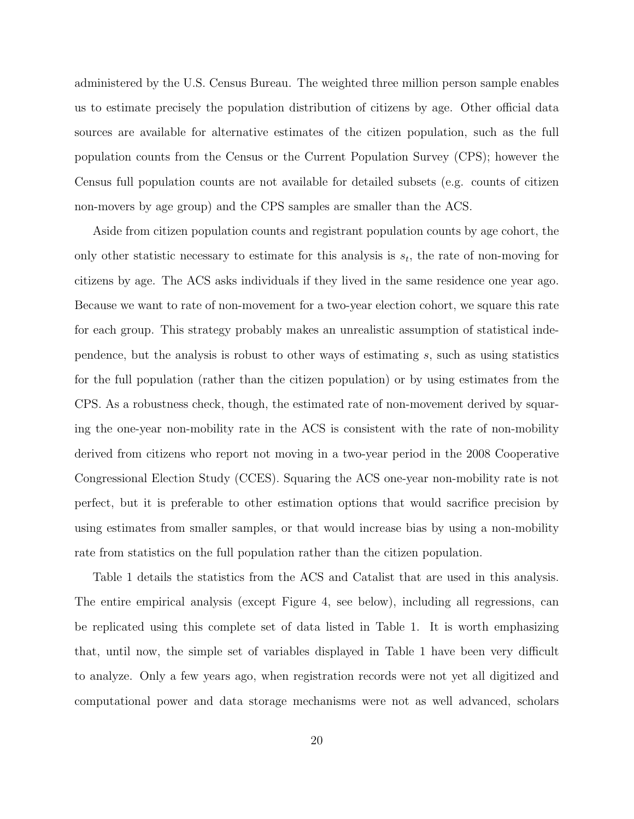administered by the U.S. Census Bureau. The weighted three million person sample enables us to estimate precisely the population distribution of citizens by age. Other official data sources are available for alternative estimates of the citizen population, such as the full population counts from the Census or the Current Population Survey (CPS); however the Census full population counts are not available for detailed subsets (e.g. counts of citizen non-movers by age group) and the CPS samples are smaller than the ACS.

Aside from citizen population counts and registrant population counts by age cohort, the only other statistic necessary to estimate for this analysis is  $s_t$ , the rate of non-moving for citizens by age. The ACS asks individuals if they lived in the same residence one year ago. Because we want to rate of non-movement for a two-year election cohort, we square this rate for each group. This strategy probably makes an unrealistic assumption of statistical independence, but the analysis is robust to other ways of estimating s, such as using statistics for the full population (rather than the citizen population) or by using estimates from the CPS. As a robustness check, though, the estimated rate of non-movement derived by squaring the one-year non-mobility rate in the ACS is consistent with the rate of non-mobility derived from citizens who report not moving in a two-year period in the 2008 Cooperative Congressional Election Study (CCES). Squaring the ACS one-year non-mobility rate is not perfect, but it is preferable to other estimation options that would sacrifice precision by using estimates from smaller samples, or that would increase bias by using a non-mobility rate from statistics on the full population rather than the citizen population.

Table 1 details the statistics from the ACS and Catalist that are used in this analysis. The entire empirical analysis (except Figure 4, see below), including all regressions, can be replicated using this complete set of data listed in Table 1. It is worth emphasizing that, until now, the simple set of variables displayed in Table 1 have been very difficult to analyze. Only a few years ago, when registration records were not yet all digitized and computational power and data storage mechanisms were not as well advanced, scholars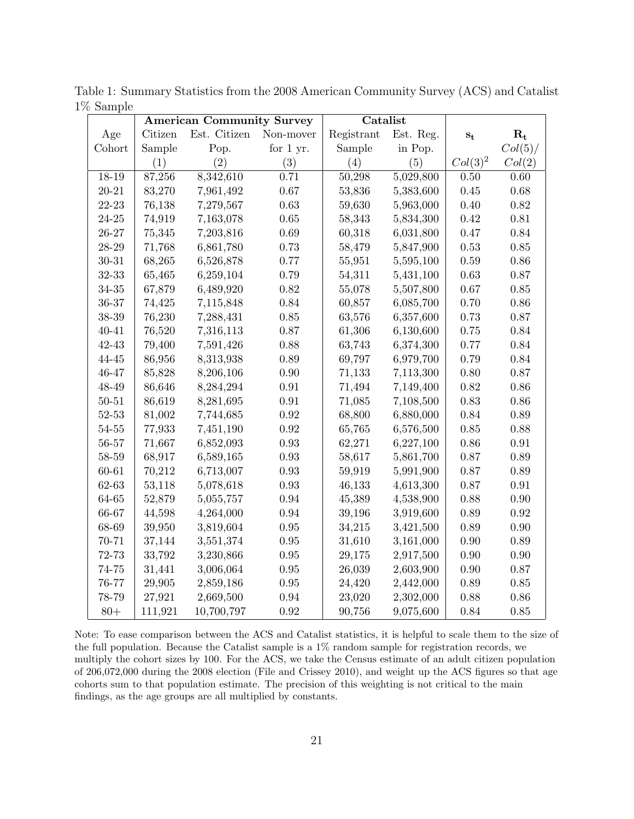|           | <b>American Community Survey</b> |              |            | Catalist   |           |                           |                      |
|-----------|----------------------------------|--------------|------------|------------|-----------|---------------------------|----------------------|
| Age       | Citizen                          | Est. Citizen | Non-mover  | Registrant | Est. Reg. | $\mathbf{s}_{\mathbf{t}}$ | $\mathbf{R}_{\rm t}$ |
| Cohort    | Sample                           | Pop.         | for 1 yr.  | Sample     | in Pop.   |                           | Col(5)/              |
|           | (1)                              | (2)          | (3)        | (4)        | (5)       | $Col(3)^2$                | Col(2)               |
| 18-19     | 87,256                           | 8,342,610    | 0.71       | 50,298     | 5,029,800 | $0.50\,$                  | $0.60\,$             |
| $20 - 21$ | 83,270                           | 7,961,492    | 0.67       | 53,836     | 5,383,600 | $0.45\,$                  | $0.68\,$             |
| $22 - 23$ | 76,138                           | 7,279,567    | 0.63       | 59,630     | 5,963,000 | 0.40                      | $0.82\,$             |
| $24 - 25$ | 74,919                           | 7,163,078    | $0.65\,$   | 58,343     | 5,834,300 | 0.42                      | $0.81\,$             |
| $26 - 27$ | 75,345                           | 7,203,816    | 0.69       | 60,318     | 6,031,800 | 0.47                      | 0.84                 |
| $28 - 29$ | 71,768                           | 6,861,780    | 0.73       | 58,479     | 5,847,900 | 0.53                      | $0.85\,$             |
| $30 - 31$ | 68,265                           | 6,526,878    | $0.77\,$   | 55,951     | 5,595,100 | $0.59\,$                  | $0.86\,$             |
| $32 - 33$ | 65,465                           | 6,259,104    | $0.79\,$   | 54,311     | 5,431,100 | $0.63\,$                  | $0.87\,$             |
| $34 - 35$ | 67,879                           | 6,489,920    | $\rm 0.82$ | 55,078     | 5,507,800 | $0.67\,$                  | $0.85\,$             |
| 36-37     | 74,425                           | 7,115,848    | 0.84       | 60,857     | 6,085,700 | 0.70                      | 0.86                 |
| $38 - 39$ | 76,230                           | 7,288,431    | $0.85\,$   | 63,576     | 6,357,600 | 0.73                      | $0.87\,$             |
| 40-41     | 76,520                           | 7,316,113    | $0.87\,$   | 61,306     | 6,130,600 | $0.75\,$                  | 0.84                 |
| $42 - 43$ | 79,400                           | 7,591,426    | $0.88\,$   | 63,743     | 6,374,300 | 0.77                      | 0.84                 |
| $44 - 45$ | 86,956                           | 8,313,938    | 0.89       | 69,797     | 6,979,700 | 0.79                      | 0.84                 |
| $46 - 47$ | 85,828                           | 8,206,106    | $0.90\,$   | 71,133     | 7,113,300 | $0.80\,$                  | 0.87                 |
| 48-49     | 86,646                           | 8,284,294    | $0.91\,$   | 71,494     | 7,149,400 | $0.82\,$                  | $0.86\,$             |
| $50 - 51$ | 86,619                           | 8,281,695    | $0.91\,$   | 71,085     | 7,108,500 | 0.83                      | $0.86\,$             |
| $52 - 53$ | 81,002                           | 7,744,685    | $\rm 0.92$ | 68,800     | 6,880,000 | 0.84                      | 0.89                 |
| $54 - 55$ | 77,933                           | 7,451,190    | $\rm 0.92$ | 65,765     | 6,576,500 | $0.85\,$                  | 0.88                 |
| $56 - 57$ | 71,667                           | 6,852,093    | $\rm 0.93$ | 62,271     | 6,227,100 | $0.86\,$                  | $\rm 0.91$           |
| $58 - 59$ | 68,917                           | 6,589,165    | $\rm 0.93$ | 58,617     | 5,861,700 | $0.87\,$                  | $0.89\,$             |
| $60 - 61$ | 70,212                           | 6,713,007    | $\rm 0.93$ | 59,919     | 5,991,900 | $0.87\,$                  | 0.89                 |
| 62-63     | 53,118                           | 5,078,618    | $\rm 0.93$ | 46,133     | 4,613,300 | $0.87\,$                  | $\rm 0.91$           |
| 64-65     | 52,879                           | 5,055,757    | 0.94       | 45,389     | 4,538,900 | $0.88\,$                  | 0.90                 |
| 66-67     | 44,598                           | 4,264,000    | 0.94       | 39,196     | 3,919,600 | 0.89                      | 0.92                 |
| 68-69     | 39,950                           | 3,819,604    | $\rm 0.95$ | 34,215     | 3,421,500 | 0.89                      | 0.90                 |
| 70-71     | 37,144                           | 3,551,374    | $\rm 0.95$ | 31,610     | 3,161,000 | $0.90\,$                  | 0.89                 |
| 72-73     | 33,792                           | 3,230,866    | $\rm 0.95$ | 29,175     | 2,917,500 | $0.90\,$                  | $0.90\,$             |
| 74-75     | 31,441                           | 3,006,064    | $\rm 0.95$ | 26,039     | 2,603,900 | $0.90\,$                  | 0.87                 |
| 76-77     | 29,905                           | 2,859,186    | $\rm 0.95$ | 24,420     | 2,442,000 | $0.89\,$                  | $0.85\,$             |
| 78-79     | 27,921                           | 2,669,500    | 0.94       | 23,020     | 2,302,000 | 0.88                      | $0.86\,$             |
| $80+$     | 111,921                          | 10,700,797   | 0.92       | 90,756     | 9,075,600 | 0.84                      | 0.85                 |

Table 1: Summary Statistics from the 2008 American Community Survey (ACS) and Catalist  $1\%$  Sample

Note: To ease comparison between the ACS and Catalist statistics, it is helpful to scale them to the size of the full population. Because the Catalist sample is a 1% random sample for registration records, we multiply the cohort sizes by 100. For the ACS, we take the Census estimate of an adult citizen population of 206,072,000 during the 2008 election (File and Crissey 2010), and weight up the ACS figures so that age cohorts sum to that population estimate. The precision of this weighting is not critical to the main findings, as the age groups are all multiplied by constants.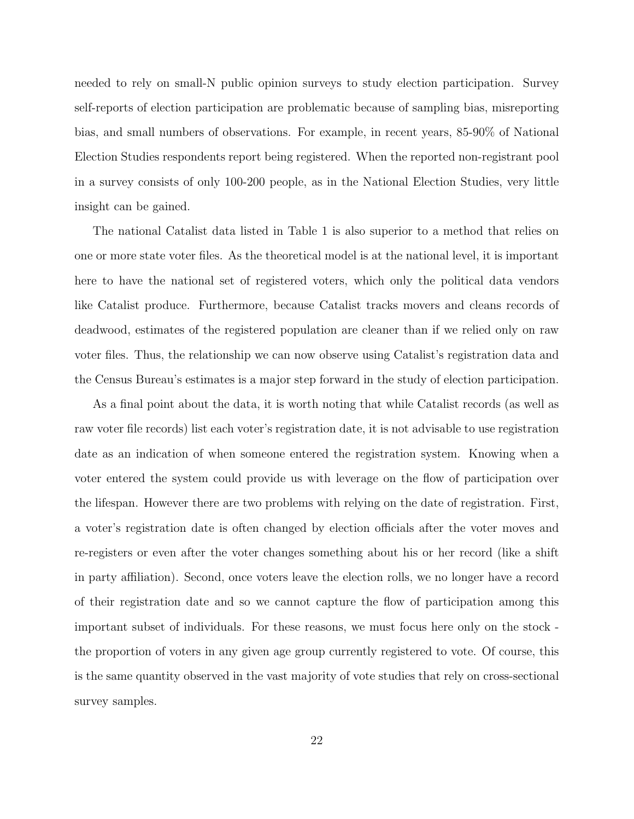needed to rely on small-N public opinion surveys to study election participation. Survey self-reports of election participation are problematic because of sampling bias, misreporting bias, and small numbers of observations. For example, in recent years, 85-90% of National Election Studies respondents report being registered. When the reported non-registrant pool in a survey consists of only 100-200 people, as in the National Election Studies, very little insight can be gained.

The national Catalist data listed in Table 1 is also superior to a method that relies on one or more state voter files. As the theoretical model is at the national level, it is important here to have the national set of registered voters, which only the political data vendors like Catalist produce. Furthermore, because Catalist tracks movers and cleans records of deadwood, estimates of the registered population are cleaner than if we relied only on raw voter files. Thus, the relationship we can now observe using Catalist's registration data and the Census Bureau's estimates is a major step forward in the study of election participation.

As a final point about the data, it is worth noting that while Catalist records (as well as raw voter file records) list each voter's registration date, it is not advisable to use registration date as an indication of when someone entered the registration system. Knowing when a voter entered the system could provide us with leverage on the flow of participation over the lifespan. However there are two problems with relying on the date of registration. First, a voter's registration date is often changed by election officials after the voter moves and re-registers or even after the voter changes something about his or her record (like a shift in party affiliation). Second, once voters leave the election rolls, we no longer have a record of their registration date and so we cannot capture the flow of participation among this important subset of individuals. For these reasons, we must focus here only on the stock the proportion of voters in any given age group currently registered to vote. Of course, this is the same quantity observed in the vast majority of vote studies that rely on cross-sectional survey samples.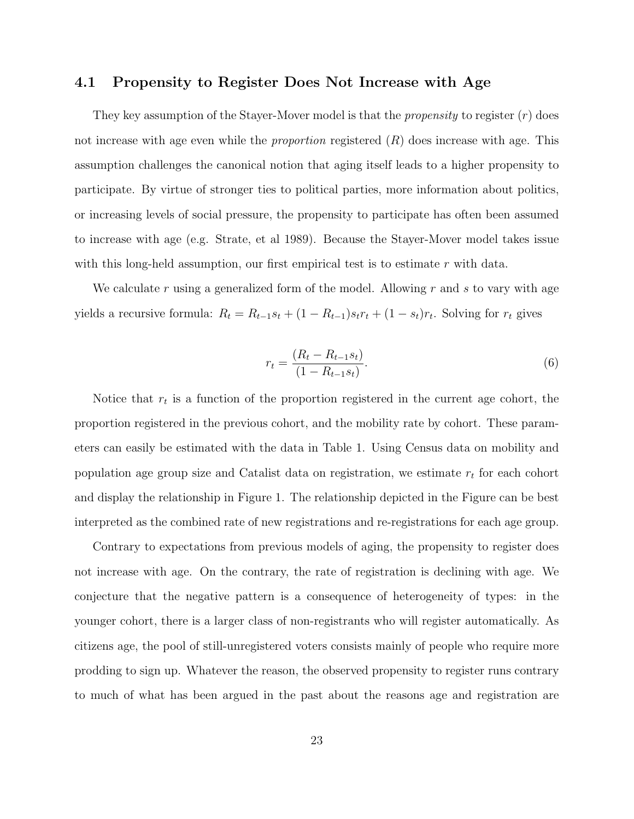#### 4.1 Propensity to Register Does Not Increase with Age

They key assumption of the Stayer-Mover model is that the *propensity* to register  $(r)$  does not increase with age even while the *proportion* registered  $(R)$  does increase with age. This assumption challenges the canonical notion that aging itself leads to a higher propensity to participate. By virtue of stronger ties to political parties, more information about politics, or increasing levels of social pressure, the propensity to participate has often been assumed to increase with age (e.g. Strate, et al 1989). Because the Stayer-Mover model takes issue with this long-held assumption, our first empirical test is to estimate  $r$  with data.

We calculate r using a generalized form of the model. Allowing r and s to vary with age yields a recursive formula:  $R_t = R_{t-1}s_t + (1 - R_{t-1})s_tr_t + (1 - s_t)r_t$ . Solving for  $r_t$  gives

$$
r_t = \frac{(R_t - R_{t-1} s_t)}{(1 - R_{t-1} s_t)}.\t(6)
$$

Notice that  $r_t$  is a function of the proportion registered in the current age cohort, the proportion registered in the previous cohort, and the mobility rate by cohort. These parameters can easily be estimated with the data in Table 1. Using Census data on mobility and population age group size and Catalist data on registration, we estimate  $r_t$  for each cohort and display the relationship in Figure 1. The relationship depicted in the Figure can be best interpreted as the combined rate of new registrations and re-registrations for each age group.

Contrary to expectations from previous models of aging, the propensity to register does not increase with age. On the contrary, the rate of registration is declining with age. We conjecture that the negative pattern is a consequence of heterogeneity of types: in the younger cohort, there is a larger class of non-registrants who will register automatically. As citizens age, the pool of still-unregistered voters consists mainly of people who require more prodding to sign up. Whatever the reason, the observed propensity to register runs contrary to much of what has been argued in the past about the reasons age and registration are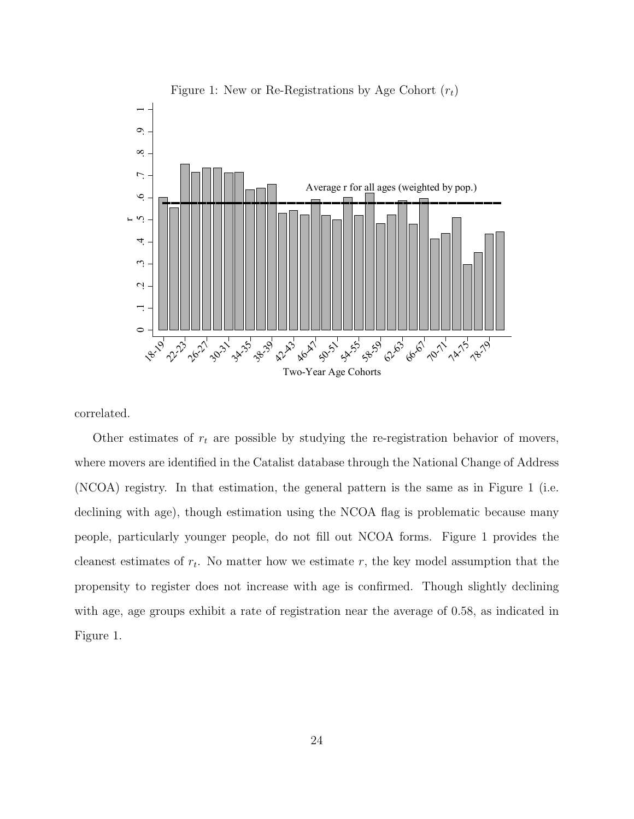



correlated.

Other estimates of  $r_t$  are possible by studying the re-registration behavior of movers, where movers are identified in the Catalist database through the National Change of Address (NCOA) registry. In that estimation, the general pattern is the same as in Figure 1 (i.e. declining with age), though estimation using the NCOA flag is problematic because many people, particularly younger people, do not fill out NCOA forms. Figure 1 provides the cleanest estimates of  $r_t$ . No matter how we estimate r, the key model assumption that the propensity to register does not increase with age is confirmed. Though slightly declining with age, age groups exhibit a rate of registration near the average of 0.58, as indicated in Figure 1.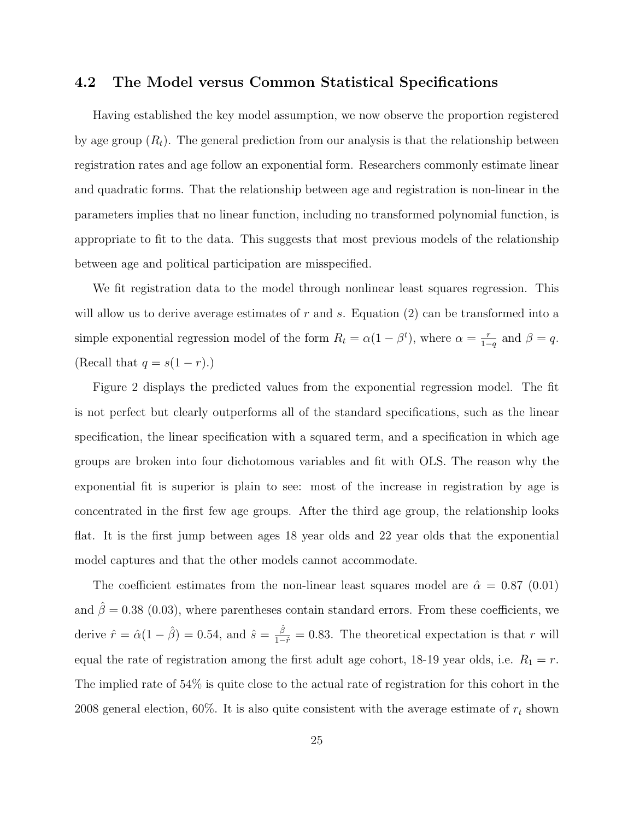#### 4.2 The Model versus Common Statistical Specifications

Having established the key model assumption, we now observe the proportion registered by age group  $(R_t)$ . The general prediction from our analysis is that the relationship between registration rates and age follow an exponential form. Researchers commonly estimate linear and quadratic forms. That the relationship between age and registration is non-linear in the parameters implies that no linear function, including no transformed polynomial function, is appropriate to fit to the data. This suggests that most previous models of the relationship between age and political participation are misspecified.

We fit registration data to the model through nonlinear least squares regression. This will allow us to derive average estimates of r and s. Equation  $(2)$  can be transformed into a simple exponential regression model of the form  $R_t = \alpha(1 - \beta^t)$ , where  $\alpha = \frac{r}{1 - \beta^t}$  $rac{r}{1-q}$  and  $\beta = q$ . (Recall that  $q = s(1 - r)$ .)

Figure 2 displays the predicted values from the exponential regression model. The fit is not perfect but clearly outperforms all of the standard specifications, such as the linear specification, the linear specification with a squared term, and a specification in which age groups are broken into four dichotomous variables and fit with OLS. The reason why the exponential fit is superior is plain to see: most of the increase in registration by age is concentrated in the first few age groups. After the third age group, the relationship looks flat. It is the first jump between ages 18 year olds and 22 year olds that the exponential model captures and that the other models cannot accommodate.

The coefficient estimates from the non-linear least squares model are  $\hat{\alpha} = 0.87$  (0.01) and  $\hat{\beta} = 0.38$  (0.03), where parentheses contain standard errors. From these coefficients, we derive  $\hat{r} = \hat{\alpha}(1-\hat{\beta}) = 0.54$ , and  $\hat{s} = \frac{\hat{\beta}}{1-\hat{r}} = 0.83$ . The theoretical expectation is that r will equal the rate of registration among the first adult age cohort, 18-19 year olds, i.e.  $R_1 = r$ . The implied rate of 54% is quite close to the actual rate of registration for this cohort in the 2008 general election, 60%. It is also quite consistent with the average estimate of  $r_t$  shown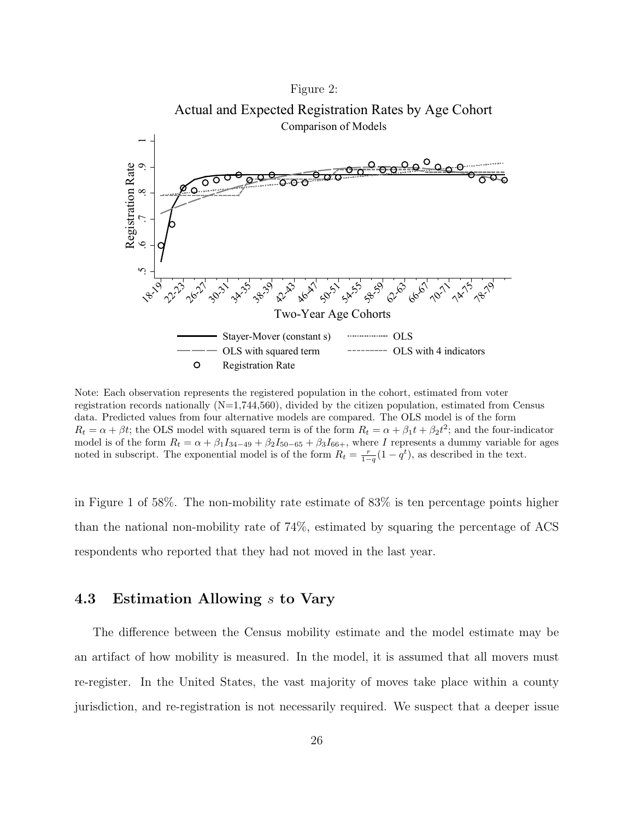

Note: Each observation represents the registered population in the cohort, estimated from voter registration records nationally (N=1,744,560), divided by the citizen population, estimated from Census data. Predicted values from four alternative models are compared. The OLS model is of the form  $R_t = \alpha + \beta t$ ; the OLS model with squared term is of the form  $R_t = \alpha + \beta_1 t + \beta_2 t^2$ ; and the four-indicator model is of the form  $R_t = \alpha + \beta_1 I_{34-49} + \beta_2 I_{50-65} + \beta_3 I_{66+}$ , where I represents a dummy variable for ages noted in subscript. The exponential model is of the form  $R_t = \frac{r}{1-q}(1-q^t)$ , as described in the text.

in Figure 1 of 58%. The non-mobility rate estimate of 83% is ten percentage points higher than the national non-mobility rate of 74%, estimated by squaring the percentage of ACS respondents who reported that they had not moved in the last year.

#### 4.3 Estimation Allowing s to Vary

The difference between the Census mobility estimate and the model estimate may be an artifact of how mobility is measured. In the model, it is assumed that all movers must re-register. In the United States, the vast majority of moves take place within a county jurisdiction, and re-registration is not necessarily required. We suspect that a deeper issue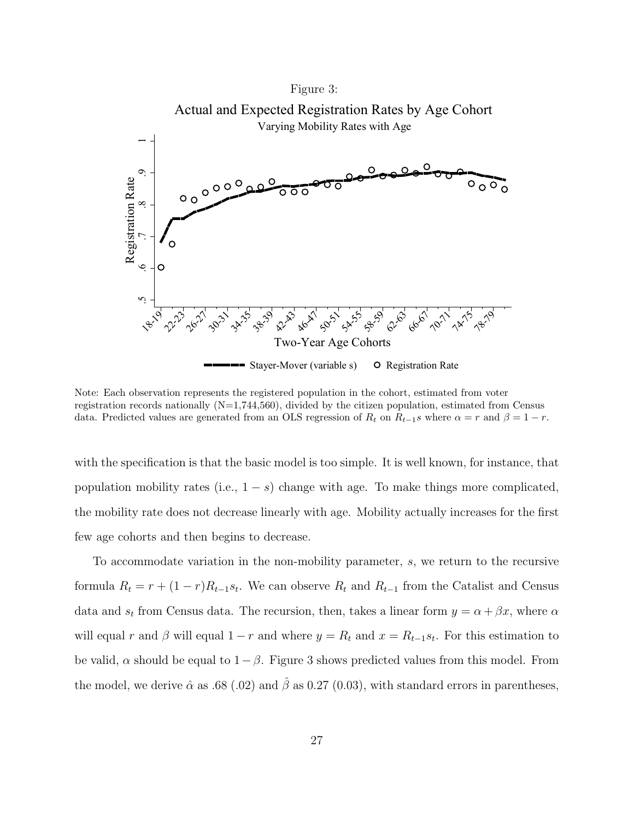

Note: Each observation represents the registered population in the cohort, estimated from voter registration records nationally (N=1,744,560), divided by the citizen population, estimated from Census data. Predicted values are generated from an OLS regression of  $R_t$  on  $R_{t-1}s$  where  $\alpha = r$  and  $\beta = 1 - r$ .

with the specification is that the basic model is too simple. It is well known, for instance, that population mobility rates (i.e.,  $1 - s$ ) change with age. To make things more complicated, the mobility rate does not decrease linearly with age. Mobility actually increases for the first few age cohorts and then begins to decrease.

To accommodate variation in the non-mobility parameter, s, we return to the recursive formula  $R_t = r + (1 - r)R_{t-1}s_t$ . We can observe  $R_t$  and  $R_{t-1}$  from the Catalist and Census data and  $s_t$  from Census data. The recursion, then, takes a linear form  $y = \alpha + \beta x$ , where  $\alpha$ will equal r and  $\beta$  will equal  $1 - r$  and where  $y = R_t$  and  $x = R_{t-1}s_t$ . For this estimation to be valid,  $\alpha$  should be equal to  $1-\beta$ . Figure 3 shows predicted values from this model. From the model, we derive  $\hat{\alpha}$  as .68 (.02) and  $\hat{\beta}$  as 0.27 (0.03), with standard errors in parentheses,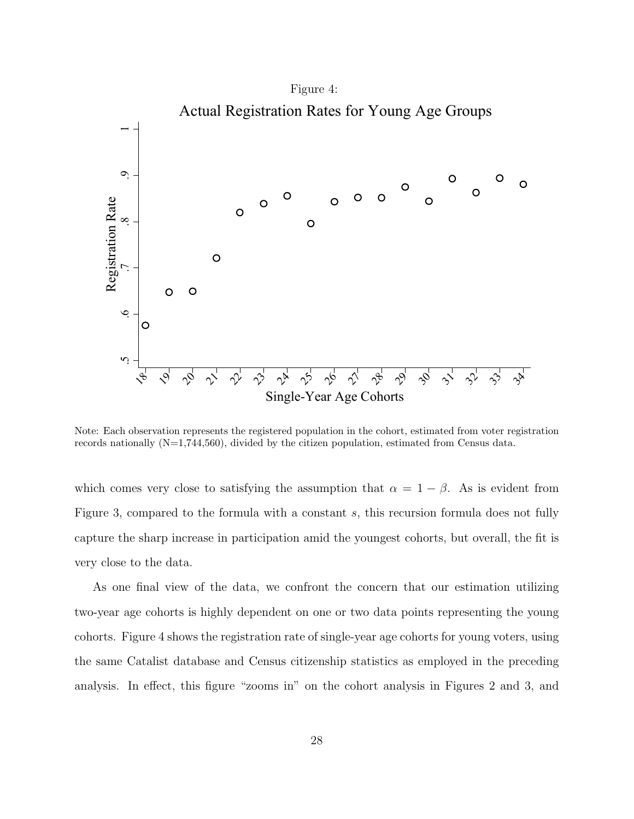

Note: Each observation represents the registered population in the cohort, estimated from voter registration records nationally (N=1,744,560), divided by the citizen population, estimated from Census data.

which comes very close to satisfying the assumption that  $\alpha = 1 - \beta$ . As is evident from Figure 3, compared to the formula with a constant s, this recursion formula does not fully capture the sharp increase in participation amid the youngest cohorts, but overall, the fit is very close to the data.

As one final view of the data, we confront the concern that our estimation utilizing two-year age cohorts is highly dependent on one or two data points representing the young cohorts. Figure 4 shows the registration rate of single-year age cohorts for young voters, using the same Catalist database and Census citizenship statistics as employed in the preceding analysis. In effect, this figure "zooms in" on the cohort analysis in Figures 2 and 3, and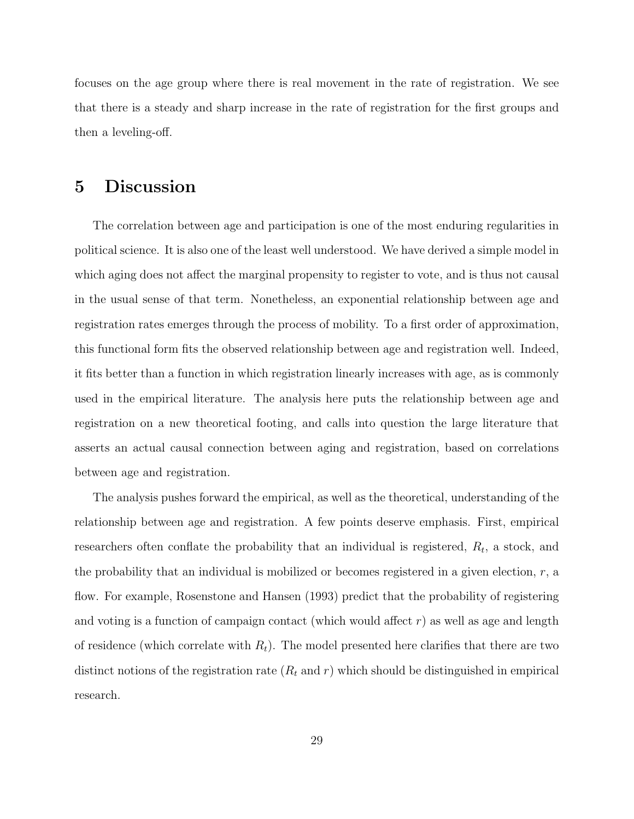focuses on the age group where there is real movement in the rate of registration. We see that there is a steady and sharp increase in the rate of registration for the first groups and then a leveling-off.

## 5 Discussion

The correlation between age and participation is one of the most enduring regularities in political science. It is also one of the least well understood. We have derived a simple model in which aging does not affect the marginal propensity to register to vote, and is thus not causal in the usual sense of that term. Nonetheless, an exponential relationship between age and registration rates emerges through the process of mobility. To a first order of approximation, this functional form fits the observed relationship between age and registration well. Indeed, it fits better than a function in which registration linearly increases with age, as is commonly used in the empirical literature. The analysis here puts the relationship between age and registration on a new theoretical footing, and calls into question the large literature that asserts an actual causal connection between aging and registration, based on correlations between age and registration.

The analysis pushes forward the empirical, as well as the theoretical, understanding of the relationship between age and registration. A few points deserve emphasis. First, empirical researchers often conflate the probability that an individual is registered,  $R_t$ , a stock, and the probability that an individual is mobilized or becomes registered in a given election,  $r$ , a flow. For example, Rosenstone and Hansen (1993) predict that the probability of registering and voting is a function of campaign contact (which would affect  $r$ ) as well as age and length of residence (which correlate with  $R_t$ ). The model presented here clarifies that there are two distinct notions of the registration rate  $(R_t \text{ and } r)$  which should be distinguished in empirical research.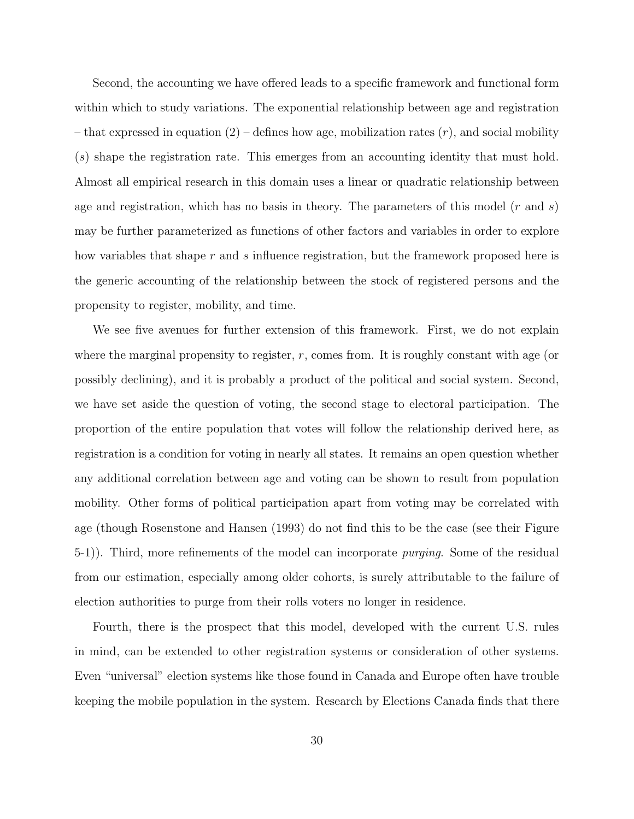Second, the accounting we have offered leads to a specific framework and functional form within which to study variations. The exponential relationship between age and registration – that expressed in equation  $(2)$  – defines how age, mobilization rates  $(r)$ , and social mobility (s) shape the registration rate. This emerges from an accounting identity that must hold. Almost all empirical research in this domain uses a linear or quadratic relationship between age and registration, which has no basis in theory. The parameters of this model  $(r \text{ and } s)$ may be further parameterized as functions of other factors and variables in order to explore how variables that shape r and s influence registration, but the framework proposed here is the generic accounting of the relationship between the stock of registered persons and the propensity to register, mobility, and time.

We see five avenues for further extension of this framework. First, we do not explain where the marginal propensity to register,  $r$ , comes from. It is roughly constant with age (or possibly declining), and it is probably a product of the political and social system. Second, we have set aside the question of voting, the second stage to electoral participation. The proportion of the entire population that votes will follow the relationship derived here, as registration is a condition for voting in nearly all states. It remains an open question whether any additional correlation between age and voting can be shown to result from population mobility. Other forms of political participation apart from voting may be correlated with age (though Rosenstone and Hansen (1993) do not find this to be the case (see their Figure 5-1)). Third, more refinements of the model can incorporate purging. Some of the residual from our estimation, especially among older cohorts, is surely attributable to the failure of election authorities to purge from their rolls voters no longer in residence.

Fourth, there is the prospect that this model, developed with the current U.S. rules in mind, can be extended to other registration systems or consideration of other systems. Even "universal" election systems like those found in Canada and Europe often have trouble keeping the mobile population in the system. Research by Elections Canada finds that there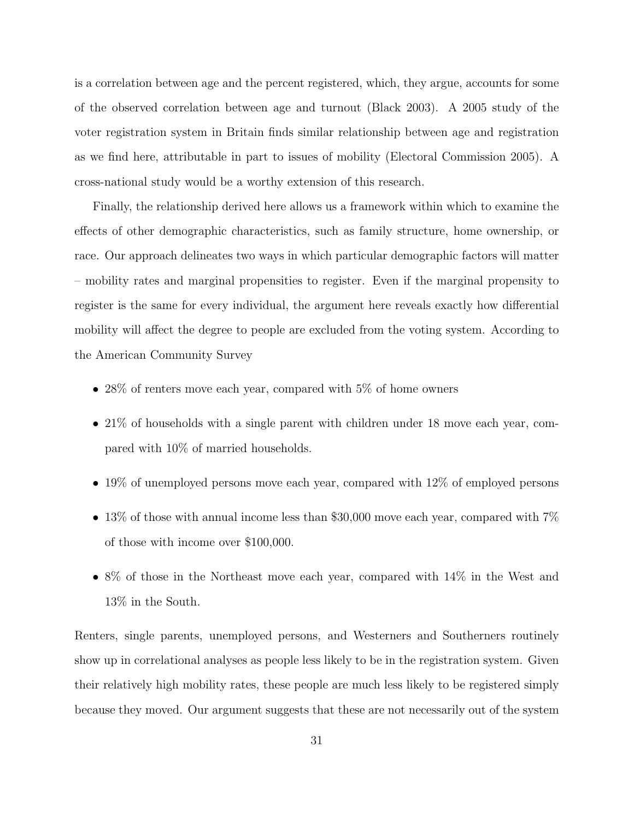is a correlation between age and the percent registered, which, they argue, accounts for some of the observed correlation between age and turnout (Black 2003). A 2005 study of the voter registration system in Britain finds similar relationship between age and registration as we find here, attributable in part to issues of mobility (Electoral Commission 2005). A cross-national study would be a worthy extension of this research.

Finally, the relationship derived here allows us a framework within which to examine the effects of other demographic characteristics, such as family structure, home ownership, or race. Our approach delineates two ways in which particular demographic factors will matter – mobility rates and marginal propensities to register. Even if the marginal propensity to register is the same for every individual, the argument here reveals exactly how differential mobility will affect the degree to people are excluded from the voting system. According to the American Community Survey

- 28% of renters move each year, compared with  $5\%$  of home owners
- 21% of households with a single parent with children under 18 move each year, compared with 10% of married households.
- 19% of unemployed persons move each year, compared with 12% of employed persons
- 13% of those with annual income less than \$30,000 move each year, compared with  $7\%$ of those with income over \$100,000.
- 8% of those in the Northeast move each year, compared with 14% in the West and 13% in the South.

Renters, single parents, unemployed persons, and Westerners and Southerners routinely show up in correlational analyses as people less likely to be in the registration system. Given their relatively high mobility rates, these people are much less likely to be registered simply because they moved. Our argument suggests that these are not necessarily out of the system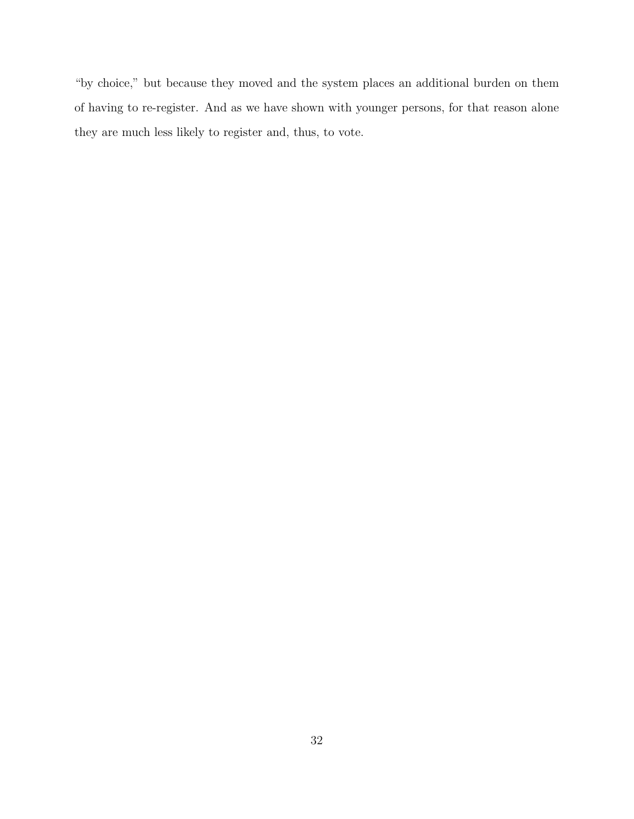"by choice," but because they moved and the system places an additional burden on them of having to re-register. And as we have shown with younger persons, for that reason alone they are much less likely to register and, thus, to vote.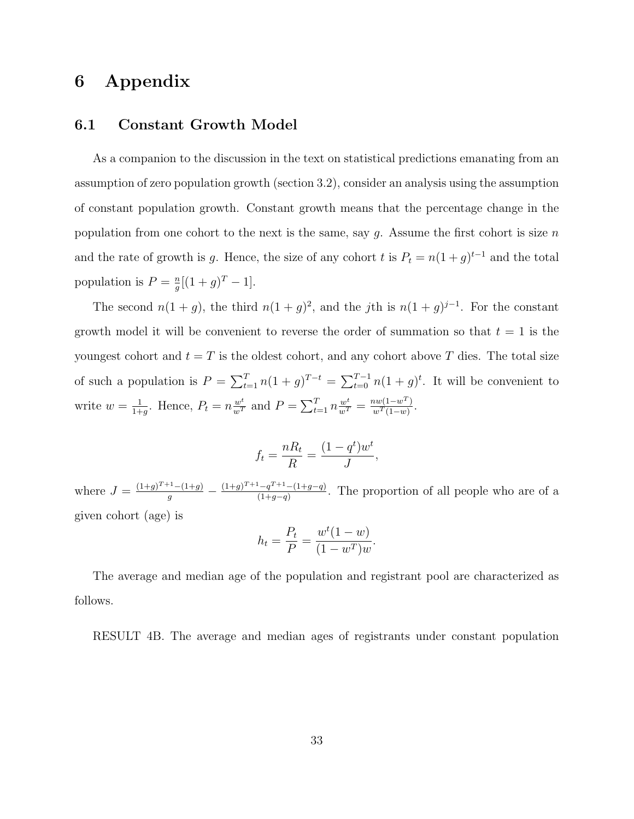## 6 Appendix

#### 6.1 Constant Growth Model

As a companion to the discussion in the text on statistical predictions emanating from an assumption of zero population growth (section 3.2), consider an analysis using the assumption of constant population growth. Constant growth means that the percentage change in the population from one cohort to the next is the same, say  $g$ . Assume the first cohort is size  $n$ and the rate of growth is g. Hence, the size of any cohort t is  $P_t = n(1+g)^{t-1}$  and the total population is  $P = \frac{n}{q}$  $\frac{n}{g}[(1+g)^{T}-1].$ 

The second  $n(1+g)$ , the third  $n(1+g)^2$ , and the jth is  $n(1+g)^{j-1}$ . For the constant growth model it will be convenient to reverse the order of summation so that  $t = 1$  is the youngest cohort and  $t = T$  is the oldest cohort, and any cohort above T dies. The total size of such a population is  $P = \sum_{t=1}^{T} n(1+g)^{T-t} = \sum_{t=0}^{T-1} n(1+g)^t$ . It will be convenient to write  $w=\frac{1}{1+1}$  $\frac{1}{1+g}$ . Hence,  $P_t = n \frac{w^t}{w^T}$  and  $P = \sum_{t=1}^T n \frac{w^t}{w^T} = \frac{nw(1-w^T)}{w^T(1-w)}$  $\frac{uw(1-w^2)}{w^T(1-w)}$ .

$$
f_t = \frac{nR_t}{R} = \frac{(1-q^t)w^t}{J},
$$

where  $J = \frac{(1+g)^{T+1}-(1+g)}{g} - \frac{(1+g)^{T+1} - q^{T+1}-(1+g-q)}{(1+g-q)}$  $\frac{(-q^{1+i}-(1+g-q)}{(1+g-q)}$ . The proportion of all people who are of a given cohort (age) is

$$
h_t = \frac{P_t}{P} = \frac{w^t(1 - w)}{(1 - w^T)w}.
$$

The average and median age of the population and registrant pool are characterized as follows.

RESULT 4B. The average and median ages of registrants under constant population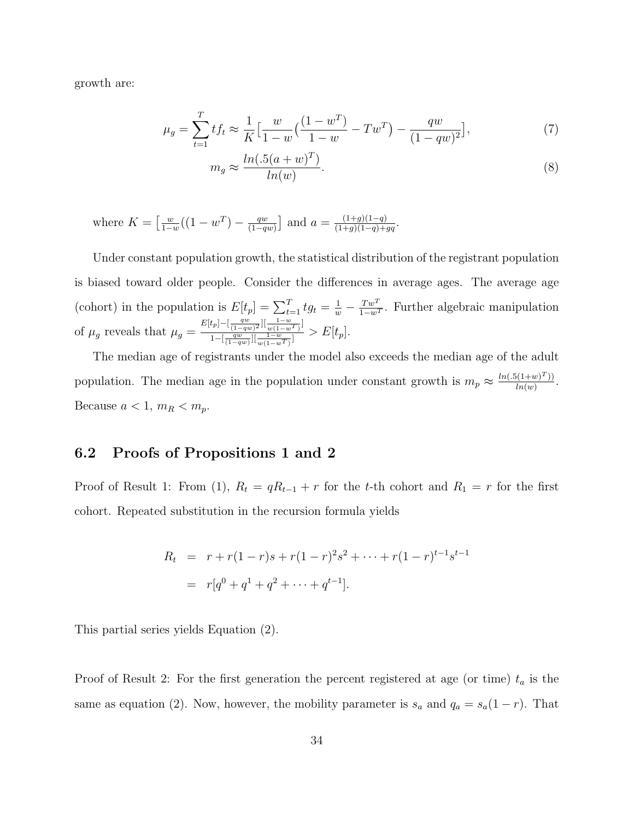growth are:

$$
\mu_g = \sum_{t=1}^T t f_t \approx \frac{1}{K} \Big[ \frac{w}{1-w} \Big( \frac{(1-w^T)}{1-w} - Tw^T \Big) - \frac{qw}{(1-qw)^2} \Big],\tag{7}
$$

$$
m_g \approx \frac{\ln(.5(a+w)^T)}{\ln(w)}.\tag{8}
$$

where  $K = \left[\frac{w}{1 - \frac{w}{c}}\right]$  $\frac{w}{1-w}((1-w^T)-\frac{qw}{(1-q^T)})$  $\frac{qw}{(1-qw)}$  and  $a = \frac{(1+g)(1-q)}{(1+g)(1-q)+g}$  $\frac{(1+g)(1-q)}{(1+g)(1-q)+gq}.$ 

Under constant population growth, the statistical distribution of the registrant population is biased toward older people. Consider the differences in average ages. The average age (cohort) in the population is  $E[t_p] = \sum_{t=1}^{T} t g_t = \frac{1}{w} - \frac{T w^T}{1 - w^T}$ . Further algebraic manipulation of  $\mu_g$  reveals that  $\mu_g = \frac{E[t_p] - \left[\frac{qw}{(1-qw)^2}\right]\left[\frac{1-w}{w(1-w^T)}\right]}{\frac{1-1-w}{1-\left[\frac{qw}{(1-qw)^2}\right]\left[\frac{1-w}{w(1-w^T)}\right]}}$  $\frac{1-\frac{qw}{(1-qw)^{2}}\prod_{w(1-w)}^{w}(1-w)}{\prod_{v(1-qw)}\prod_{w(1-w)}^{w}(1-w)} > E[t_p].$ 

The median age of registrants under the model also exceeds the median age of the adult population. The median age in the population under constant growth is  $m_p \approx \frac{\ln(.5(1+w)^T)}{\ln(w)}$  $\frac{n(1+w)^{2} n}{\ln(w)}$ . Because  $a < 1, m_R < m_p$ .

## 6.2 Proofs of Propositions 1 and 2

Proof of Result 1: From (1),  $R_t = qR_{t-1} + r$  for the t-th cohort and  $R_1 = r$  for the first cohort. Repeated substitution in the recursion formula yields

$$
R_t = r + r(1-r)s + r(1-r)^2s^2 + \dots + r(1-r)^{t-1}s^{t-1}
$$
  
=  $r[q^0 + q^1 + q^2 + \dots + q^{t-1}].$ 

This partial series yields Equation (2).

Proof of Result 2: For the first generation the percent registered at age (or time)  $t_a$  is the same as equation (2). Now, however, the mobility parameter is  $s_a$  and  $q_a = s_a(1 - r)$ . That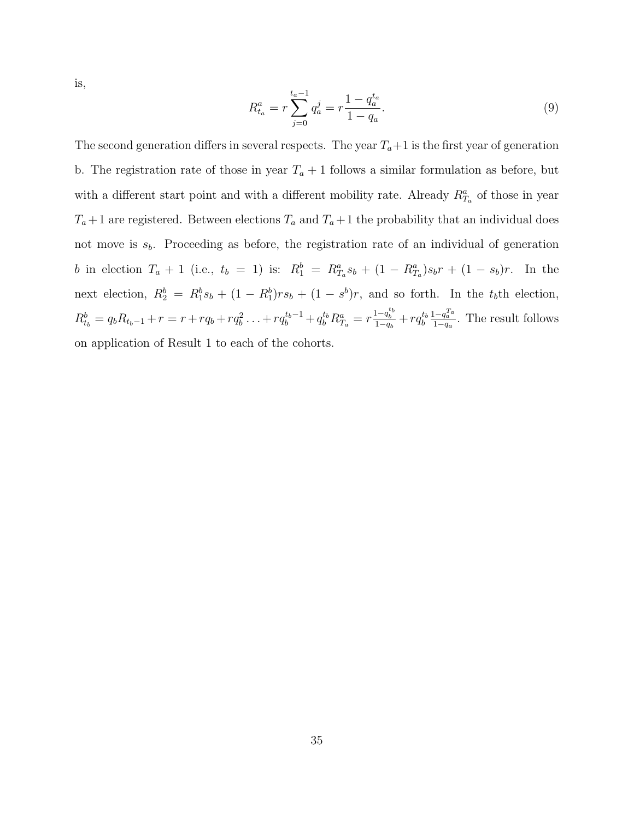is,

$$
R_{t_a}^a = r \sum_{j=0}^{t_a - 1} q_a^j = r \frac{1 - q_a^{t_a}}{1 - q_a}.
$$
\n
$$
(9)
$$

The second generation differs in several respects. The year  $T_a+1$  is the first year of generation b. The registration rate of those in year  $T_a + 1$  follows a similar formulation as before, but with a different start point and with a different mobility rate. Already  $R_{T_a}^a$  of those in year  $T_a + 1$  are registered. Between elections  $T_a$  and  $T_a + 1$  the probability that an individual does not move is  $s_b$ . Proceeding as before, the registration rate of an individual of generation b in election  $T_a + 1$  (i.e.,  $t_b = 1$ ) is:  $R_1^b = R_{T_a}^a s_b + (1 - R_{T_a}^a)s_b r + (1 - s_b)r$ . In the next election,  $R_2^b = R_1^b s_b + (1 - R_1^b) r s_b + (1 - s^b) r$ , and so forth. In the  $t_b$ th election,  $R_{t_b}^b = q_b R_{t_b-1} + r = r + r q_b + r q_b^2 \dots + r q_b^{t_b-1} + q_b^{t_b} R_{T_a}^a = r \frac{1 - q_b^{t_b}}{1 - q_b} + r q_b^{t_b}$  $\frac{1-q_a^{T_a}}{1-q_a}$ . The result follows on application of Result 1 to each of the cohorts.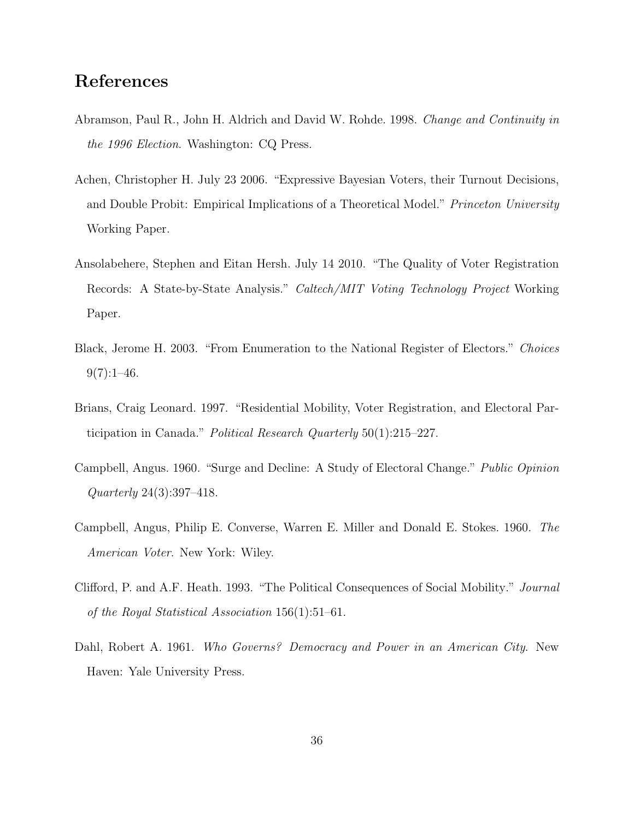## References

- Abramson, Paul R., John H. Aldrich and David W. Rohde. 1998. Change and Continuity in the 1996 Election. Washington: CQ Press.
- Achen, Christopher H. July 23 2006. "Expressive Bayesian Voters, their Turnout Decisions, and Double Probit: Empirical Implications of a Theoretical Model." Princeton University Working Paper.
- Ansolabehere, Stephen and Eitan Hersh. July 14 2010. "The Quality of Voter Registration Records: A State-by-State Analysis." Caltech/MIT Voting Technology Project Working Paper.
- Black, Jerome H. 2003. "From Enumeration to the National Register of Electors." Choices  $9(7):1-46.$
- Brians, Craig Leonard. 1997. "Residential Mobility, Voter Registration, and Electoral Participation in Canada." Political Research Quarterly 50(1):215–227.
- Campbell, Angus. 1960. "Surge and Decline: A Study of Electoral Change." Public Opinion Quarterly 24(3):397–418.
- Campbell, Angus, Philip E. Converse, Warren E. Miller and Donald E. Stokes. 1960. The American Voter. New York: Wiley.
- Clifford, P. and A.F. Heath. 1993. "The Political Consequences of Social Mobility." Journal of the Royal Statistical Association 156(1):51–61.
- Dahl, Robert A. 1961. Who Governs? Democracy and Power in an American City. New Haven: Yale University Press.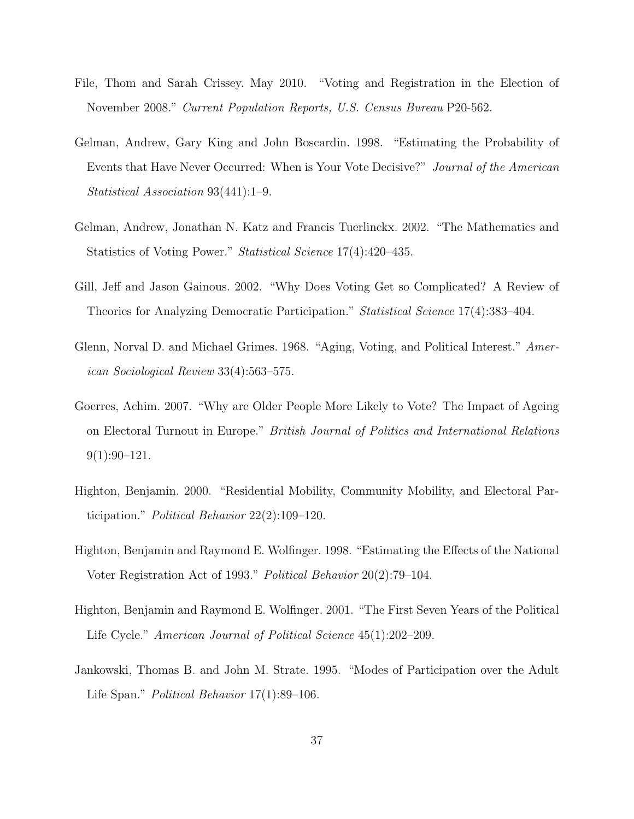- File, Thom and Sarah Crissey. May 2010. "Voting and Registration in the Election of November 2008." Current Population Reports, U.S. Census Bureau P20-562.
- Gelman, Andrew, Gary King and John Boscardin. 1998. "Estimating the Probability of Events that Have Never Occurred: When is Your Vote Decisive?" Journal of the American Statistical Association 93(441):1–9.
- Gelman, Andrew, Jonathan N. Katz and Francis Tuerlinckx. 2002. "The Mathematics and Statistics of Voting Power." Statistical Science 17(4):420–435.
- Gill, Jeff and Jason Gainous. 2002. "Why Does Voting Get so Complicated? A Review of Theories for Analyzing Democratic Participation." Statistical Science 17(4):383–404.
- Glenn, Norval D. and Michael Grimes. 1968. "Aging, Voting, and Political Interest." American Sociological Review 33(4):563–575.
- Goerres, Achim. 2007. "Why are Older People More Likely to Vote? The Impact of Ageing on Electoral Turnout in Europe." British Journal of Politics and International Relations  $9(1):90-121.$
- Highton, Benjamin. 2000. "Residential Mobility, Community Mobility, and Electoral Participation." Political Behavior 22(2):109–120.
- Highton, Benjamin and Raymond E. Wolfinger. 1998. "Estimating the Effects of the National Voter Registration Act of 1993." Political Behavior 20(2):79–104.
- Highton, Benjamin and Raymond E. Wolfinger. 2001. "The First Seven Years of the Political Life Cycle." American Journal of Political Science 45(1):202–209.
- Jankowski, Thomas B. and John M. Strate. 1995. "Modes of Participation over the Adult Life Span." *Political Behavior* 17(1):89–106.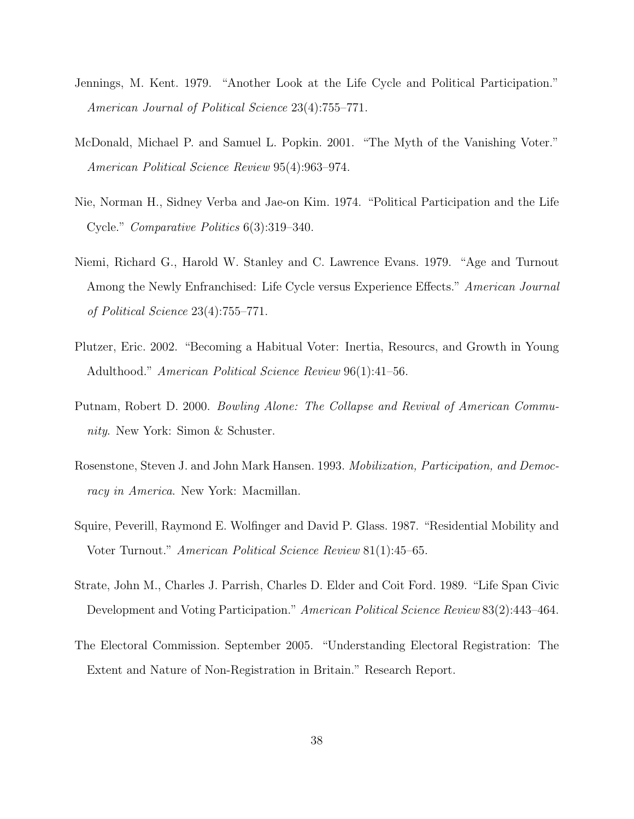- Jennings, M. Kent. 1979. "Another Look at the Life Cycle and Political Participation." American Journal of Political Science 23(4):755–771.
- McDonald, Michael P. and Samuel L. Popkin. 2001. "The Myth of the Vanishing Voter." American Political Science Review 95(4):963–974.
- Nie, Norman H., Sidney Verba and Jae-on Kim. 1974. "Political Participation and the Life Cycle." Comparative Politics 6(3):319–340.
- Niemi, Richard G., Harold W. Stanley and C. Lawrence Evans. 1979. "Age and Turnout Among the Newly Enfranchised: Life Cycle versus Experience Effects." American Journal of Political Science 23(4):755–771.
- Plutzer, Eric. 2002. "Becoming a Habitual Voter: Inertia, Resourcs, and Growth in Young Adulthood." American Political Science Review 96(1):41–56.
- Putnam, Robert D. 2000. Bowling Alone: The Collapse and Revival of American Community. New York: Simon & Schuster.
- Rosenstone, Steven J. and John Mark Hansen. 1993. Mobilization, Participation, and Democracy in America. New York: Macmillan.
- Squire, Peverill, Raymond E. Wolfinger and David P. Glass. 1987. "Residential Mobility and Voter Turnout." American Political Science Review 81(1):45–65.
- Strate, John M., Charles J. Parrish, Charles D. Elder and Coit Ford. 1989. "Life Span Civic Development and Voting Participation." American Political Science Review 83(2):443–464.
- The Electoral Commission. September 2005. "Understanding Electoral Registration: The Extent and Nature of Non-Registration in Britain." Research Report.